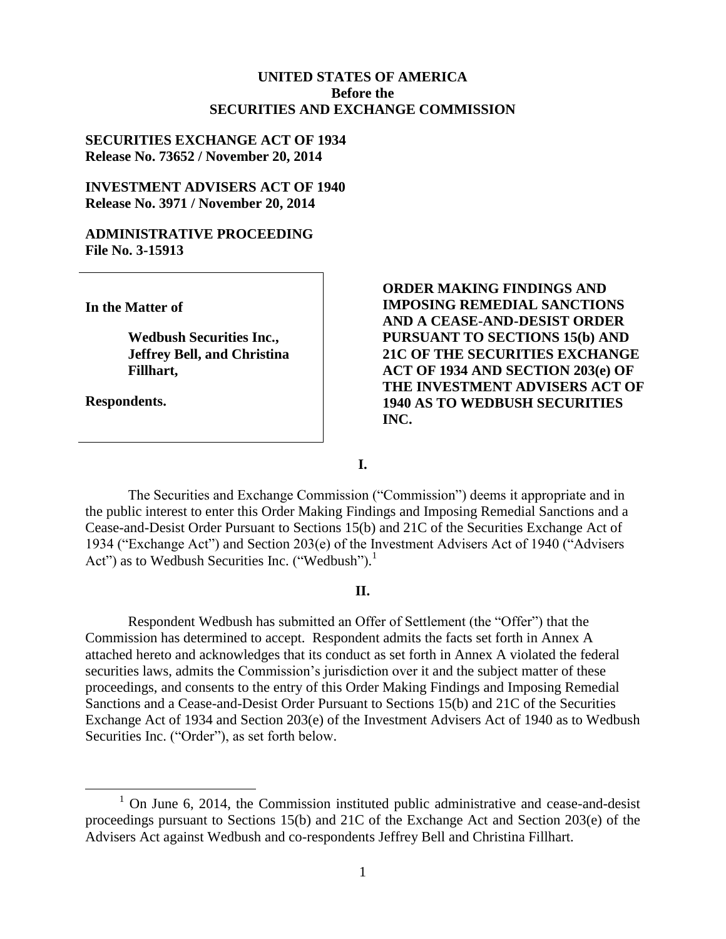#### **UNITED STATES OF AMERICA Before the SECURITIES AND EXCHANGE COMMISSION**

#### **SECURITIES EXCHANGE ACT OF 1934 Release No. 73652 / November 20, 2014**

#### **INVESTMENT ADVISERS ACT OF 1940 Release No. 3971 / November 20, 2014**

#### **ADMINISTRATIVE PROCEEDING File No. 3-15913**

**In the Matter of**

**Wedbush Securities Inc., Jeffrey Bell, and Christina Fillhart,**

**Respondents.**

 $\overline{a}$ 

**ORDER MAKING FINDINGS AND IMPOSING REMEDIAL SANCTIONS AND A CEASE-AND-DESIST ORDER PURSUANT TO SECTIONS 15(b) AND 21C OF THE SECURITIES EXCHANGE ACT OF 1934 AND SECTION 203(e) OF THE INVESTMENT ADVISERS ACT OF 1940 AS TO WEDBUSH SECURITIES INC.**

**I.**

The Securities and Exchange Commission ("Commission") deems it appropriate and in the public interest to enter this Order Making Findings and Imposing Remedial Sanctions and a Cease-and-Desist Order Pursuant to Sections 15(b) and 21C of the Securities Exchange Act of 1934 ("Exchange Act") and Section 203(e) of the Investment Advisers Act of 1940 ("Advisers Act") as to Wedbush Securities Inc. ("Wedbush").<sup>1</sup>

#### **II.**

Respondent Wedbush has submitted an Offer of Settlement (the "Offer") that the Commission has determined to accept. Respondent admits the facts set forth in Annex A attached hereto and acknowledges that its conduct as set forth in Annex A violated the federal securities laws, admits the Commission's jurisdiction over it and the subject matter of these proceedings, and consents to the entry of this Order Making Findings and Imposing Remedial Sanctions and a Cease-and-Desist Order Pursuant to Sections 15(b) and 21C of the Securities Exchange Act of 1934 and Section 203(e) of the Investment Advisers Act of 1940 as to Wedbush Securities Inc. ("Order"), as set forth below.

 $1$  On June 6, 2014, the Commission instituted public administrative and cease-and-desist proceedings pursuant to Sections 15(b) and 21C of the Exchange Act and Section 203(e) of the Advisers Act against Wedbush and co-respondents Jeffrey Bell and Christina Fillhart.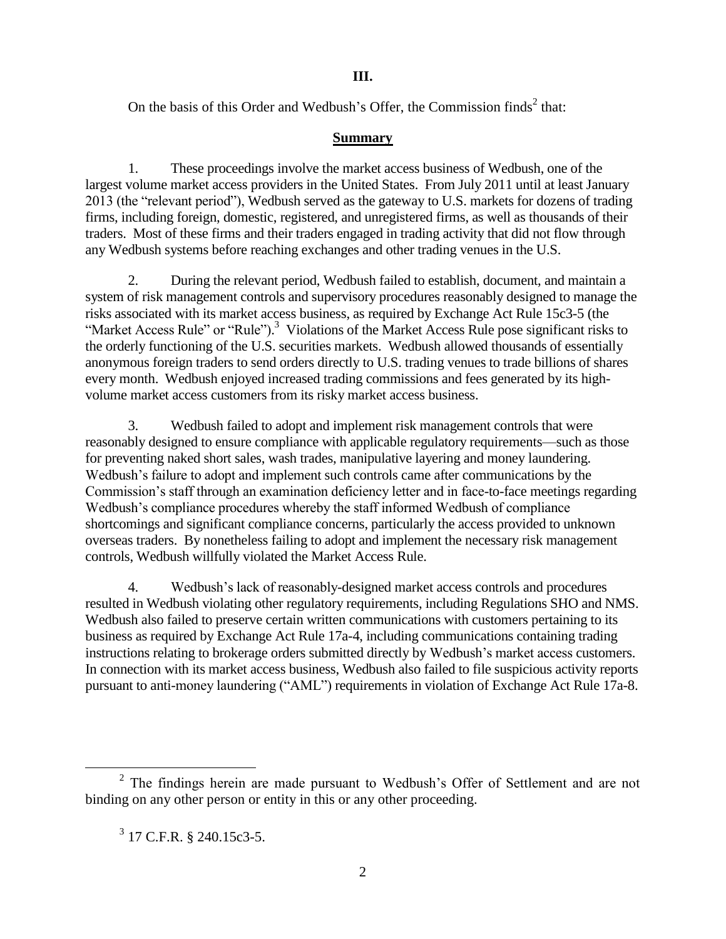On the basis of this Order and Wedbush's Offer, the Commission finds $2$  that:

## **Summary**

1. These proceedings involve the market access business of Wedbush, one of the largest volume market access providers in the United States. From July 2011 until at least January 2013 (the "relevant period"), Wedbush served as the gateway to U.S. markets for dozens of trading firms, including foreign, domestic, registered, and unregistered firms, as well as thousands of their traders. Most of these firms and their traders engaged in trading activity that did not flow through any Wedbush systems before reaching exchanges and other trading venues in the U.S.

2. During the relevant period, Wedbush failed to establish, document, and maintain a system of risk management controls and supervisory procedures reasonably designed to manage the risks associated with its market access business, as required by Exchange Act Rule 15c3-5 (the "Market Access Rule" or "Rule").<sup>3</sup> Violations of the Market Access Rule pose significant risks to the orderly functioning of the U.S. securities markets. Wedbush allowed thousands of essentially anonymous foreign traders to send orders directly to U.S. trading venues to trade billions of shares every month. Wedbush enjoyed increased trading commissions and fees generated by its highvolume market access customers from its risky market access business.

3. Wedbush failed to adopt and implement risk management controls that were reasonably designed to ensure compliance with applicable regulatory requirements—such as those for preventing naked short sales, wash trades, manipulative layering and money laundering. Wedbush's failure to adopt and implement such controls came after communications by the Commission's staff through an examination deficiency letter and in face-to-face meetings regarding Wedbush's compliance procedures whereby the staff informed Wedbush of compliance shortcomings and significant compliance concerns, particularly the access provided to unknown overseas traders. By nonetheless failing to adopt and implement the necessary risk management controls, Wedbush willfully violated the Market Access Rule.

4. Wedbush's lack of reasonably-designed market access controls and procedures resulted in Wedbush violating other regulatory requirements, including Regulations SHO and NMS. Wedbush also failed to preserve certain written communications with customers pertaining to its business as required by Exchange Act Rule 17a-4, including communications containing trading instructions relating to brokerage orders submitted directly by Wedbush's market access customers. In connection with its market access business, Wedbush also failed to file suspicious activity reports pursuant to anti-money laundering ("AML") requirements in violation of Exchange Act Rule 17a-8.

 $\overline{a}$ 

<sup>&</sup>lt;sup>2</sup> The findings herein are made pursuant to Wedbush's Offer of Settlement and are not binding on any other person or entity in this or any other proceeding.

<sup>&</sup>lt;sup>3</sup> 17 C.F.R. § 240.15c3-5.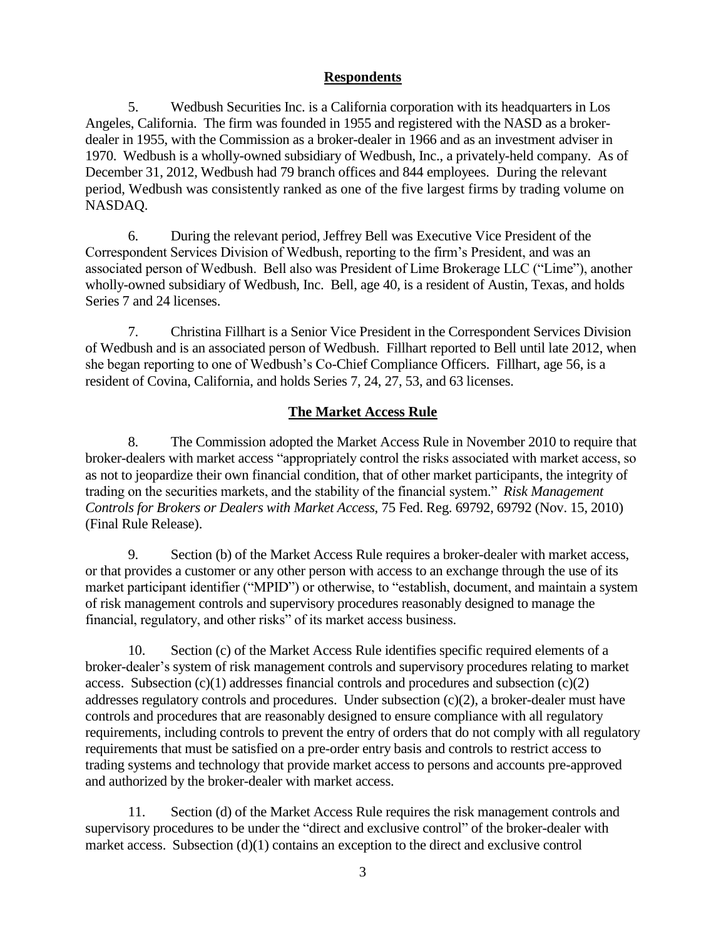## **Respondents**

5. Wedbush Securities Inc. is a California corporation with its headquarters in Los Angeles, California. The firm was founded in 1955 and registered with the NASD as a brokerdealer in 1955, with the Commission as a broker-dealer in 1966 and as an investment adviser in 1970. Wedbush is a wholly-owned subsidiary of Wedbush, Inc., a privately-held company. As of December 31, 2012, Wedbush had 79 branch offices and 844 employees. During the relevant period, Wedbush was consistently ranked as one of the five largest firms by trading volume on NASDAQ.

6. During the relevant period, Jeffrey Bell was Executive Vice President of the Correspondent Services Division of Wedbush, reporting to the firm's President, and was an associated person of Wedbush. Bell also was President of Lime Brokerage LLC ("Lime"), another wholly-owned subsidiary of Wedbush, Inc. Bell, age 40, is a resident of Austin, Texas, and holds Series 7 and 24 licenses.

7. Christina Fillhart is a Senior Vice President in the Correspondent Services Division of Wedbush and is an associated person of Wedbush. Fillhart reported to Bell until late 2012, when she began reporting to one of Wedbush's Co-Chief Compliance Officers. Fillhart, age 56, is a resident of Covina, California, and holds Series 7, 24, 27, 53, and 63 licenses.

## **The Market Access Rule**

8. The Commission adopted the Market Access Rule in November 2010 to require that broker-dealers with market access "appropriately control the risks associated with market access, so as not to jeopardize their own financial condition, that of other market participants, the integrity of trading on the securities markets, and the stability of the financial system." *Risk Management Controls for Brokers or Dealers with Market Access*, 75 Fed. Reg. 69792, 69792 (Nov. 15, 2010) (Final Rule Release).

9. Section (b) of the Market Access Rule requires a broker-dealer with market access, or that provides a customer or any other person with access to an exchange through the use of its market participant identifier ("MPID") or otherwise, to "establish, document, and maintain a system of risk management controls and supervisory procedures reasonably designed to manage the financial, regulatory, and other risks" of its market access business.

10. Section (c) of the Market Access Rule identifies specific required elements of a broker-dealer's system of risk management controls and supervisory procedures relating to market access. Subsection  $(c)(1)$  addresses financial controls and procedures and subsection  $(c)(2)$ addresses regulatory controls and procedures. Under subsection (c)(2), a broker-dealer must have controls and procedures that are reasonably designed to ensure compliance with all regulatory requirements, including controls to prevent the entry of orders that do not comply with all regulatory requirements that must be satisfied on a pre-order entry basis and controls to restrict access to trading systems and technology that provide market access to persons and accounts pre-approved and authorized by the broker-dealer with market access.

11. Section (d) of the Market Access Rule requires the risk management controls and supervisory procedures to be under the "direct and exclusive control" of the broker-dealer with market access. Subsection (d)(1) contains an exception to the direct and exclusive control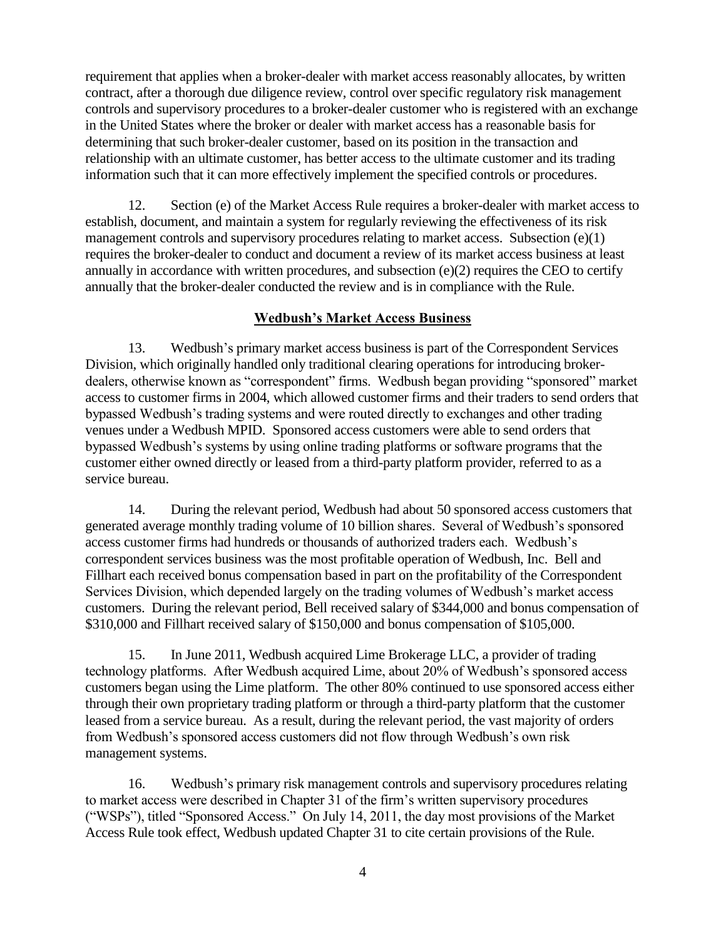requirement that applies when a broker-dealer with market access reasonably allocates, by written contract, after a thorough due diligence review, control over specific regulatory risk management controls and supervisory procedures to a broker-dealer customer who is registered with an exchange in the United States where the broker or dealer with market access has a reasonable basis for determining that such broker-dealer customer, based on its position in the transaction and relationship with an ultimate customer, has better access to the ultimate customer and its trading information such that it can more effectively implement the specified controls or procedures.

12. Section (e) of the Market Access Rule requires a broker-dealer with market access to establish, document, and maintain a system for regularly reviewing the effectiveness of its risk management controls and supervisory procedures relating to market access. Subsection (e)(1) requires the broker-dealer to conduct and document a review of its market access business at least annually in accordance with written procedures, and subsection (e)(2) requires the CEO to certify annually that the broker-dealer conducted the review and is in compliance with the Rule.

# **Wedbush's Market Access Business**

13. Wedbush's primary market access business is part of the Correspondent Services Division, which originally handled only traditional clearing operations for introducing brokerdealers, otherwise known as "correspondent" firms. Wedbush began providing "sponsored" market access to customer firms in 2004, which allowed customer firms and their traders to send orders that bypassed Wedbush's trading systems and were routed directly to exchanges and other trading venues under a Wedbush MPID. Sponsored access customers were able to send orders that bypassed Wedbush's systems by using online trading platforms or software programs that the customer either owned directly or leased from a third-party platform provider, referred to as a service bureau.

14. During the relevant period, Wedbush had about 50 sponsored access customers that generated average monthly trading volume of 10 billion shares. Several of Wedbush's sponsored access customer firms had hundreds or thousands of authorized traders each. Wedbush's correspondent services business was the most profitable operation of Wedbush, Inc. Bell and Fillhart each received bonus compensation based in part on the profitability of the Correspondent Services Division, which depended largely on the trading volumes of Wedbush's market access customers. During the relevant period, Bell received salary of \$344,000 and bonus compensation of \$310,000 and Fillhart received salary of \$150,000 and bonus compensation of \$105,000.

15. In June 2011, Wedbush acquired Lime Brokerage LLC, a provider of trading technology platforms. After Wedbush acquired Lime, about 20% of Wedbush's sponsored access customers began using the Lime platform. The other 80% continued to use sponsored access either through their own proprietary trading platform or through a third-party platform that the customer leased from a service bureau. As a result, during the relevant period, the vast majority of orders from Wedbush's sponsored access customers did not flow through Wedbush's own risk management systems.

16. Wedbush's primary risk management controls and supervisory procedures relating to market access were described in Chapter 31 of the firm's written supervisory procedures ("WSPs"), titled "Sponsored Access." On July 14, 2011, the day most provisions of the Market Access Rule took effect, Wedbush updated Chapter 31 to cite certain provisions of the Rule.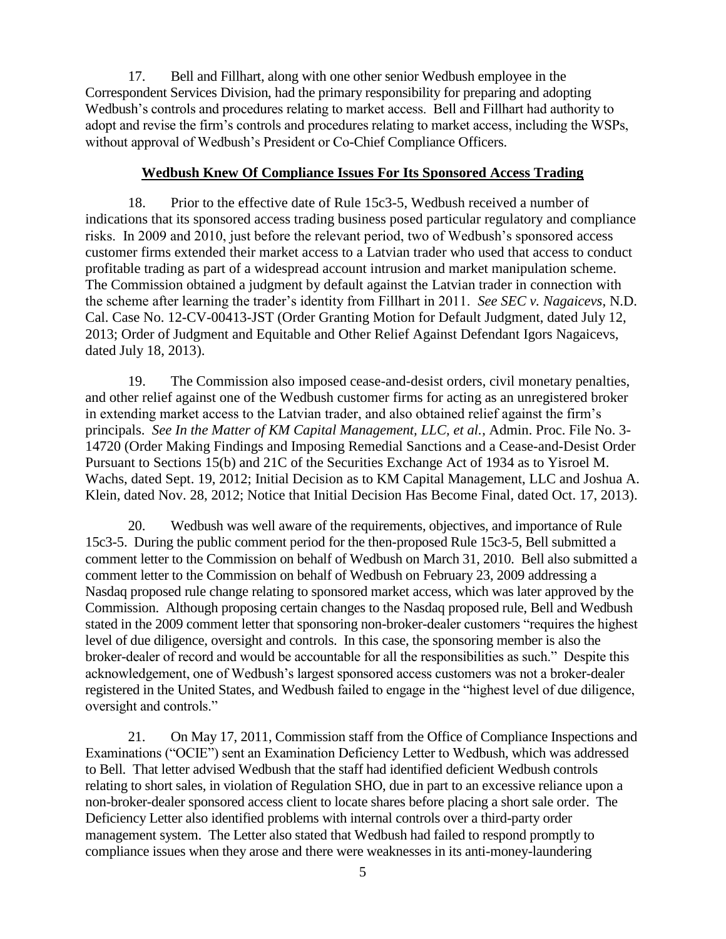17. Bell and Fillhart, along with one other senior Wedbush employee in the Correspondent Services Division, had the primary responsibility for preparing and adopting Wedbush's controls and procedures relating to market access. Bell and Fillhart had authority to adopt and revise the firm's controls and procedures relating to market access, including the WSPs, without approval of Wedbush's President or Co-Chief Compliance Officers.

#### **Wedbush Knew Of Compliance Issues For Its Sponsored Access Trading**

18. Prior to the effective date of Rule 15c3-5, Wedbush received a number of indications that its sponsored access trading business posed particular regulatory and compliance risks. In 2009 and 2010, just before the relevant period, two of Wedbush's sponsored access customer firms extended their market access to a Latvian trader who used that access to conduct profitable trading as part of a widespread account intrusion and market manipulation scheme. The Commission obtained a judgment by default against the Latvian trader in connection with the scheme after learning the trader's identity from Fillhart in 2011. *See SEC v. Nagaicevs*, N.D. Cal. Case No. 12-CV-00413-JST (Order Granting Motion for Default Judgment, dated July 12, 2013; Order of Judgment and Equitable and Other Relief Against Defendant Igors Nagaicevs, dated July 18, 2013).

19. The Commission also imposed cease-and-desist orders, civil monetary penalties, and other relief against one of the Wedbush customer firms for acting as an unregistered broker in extending market access to the Latvian trader, and also obtained relief against the firm's principals. *See In the Matter of KM Capital Management, LLC, et al.*, Admin. Proc. File No. 3- 14720 (Order Making Findings and Imposing Remedial Sanctions and a Cease-and-Desist Order Pursuant to Sections 15(b) and 21C of the Securities Exchange Act of 1934 as to Yisroel M. Wachs, dated Sept. 19, 2012; Initial Decision as to KM Capital Management, LLC and Joshua A. Klein, dated Nov. 28, 2012; Notice that Initial Decision Has Become Final, dated Oct. 17, 2013).

20. Wedbush was well aware of the requirements, objectives, and importance of Rule 15c3-5. During the public comment period for the then-proposed Rule 15c3-5, Bell submitted a comment letter to the Commission on behalf of Wedbush on March 31, 2010. Bell also submitted a comment letter to the Commission on behalf of Wedbush on February 23, 2009 addressing a Nasdaq proposed rule change relating to sponsored market access, which was later approved by the Commission. Although proposing certain changes to the Nasdaq proposed rule, Bell and Wedbush stated in the 2009 comment letter that sponsoring non-broker-dealer customers "requires the highest level of due diligence, oversight and controls. In this case, the sponsoring member is also the broker-dealer of record and would be accountable for all the responsibilities as such." Despite this acknowledgement, one of Wedbush's largest sponsored access customers was not a broker-dealer registered in the United States, and Wedbush failed to engage in the "highest level of due diligence, oversight and controls."

21. On May 17, 2011, Commission staff from the Office of Compliance Inspections and Examinations ("OCIE") sent an Examination Deficiency Letter to Wedbush, which was addressed to Bell. That letter advised Wedbush that the staff had identified deficient Wedbush controls relating to short sales, in violation of Regulation SHO, due in part to an excessive reliance upon a non-broker-dealer sponsored access client to locate shares before placing a short sale order. The Deficiency Letter also identified problems with internal controls over a third-party order management system. The Letter also stated that Wedbush had failed to respond promptly to compliance issues when they arose and there were weaknesses in its anti-money-laundering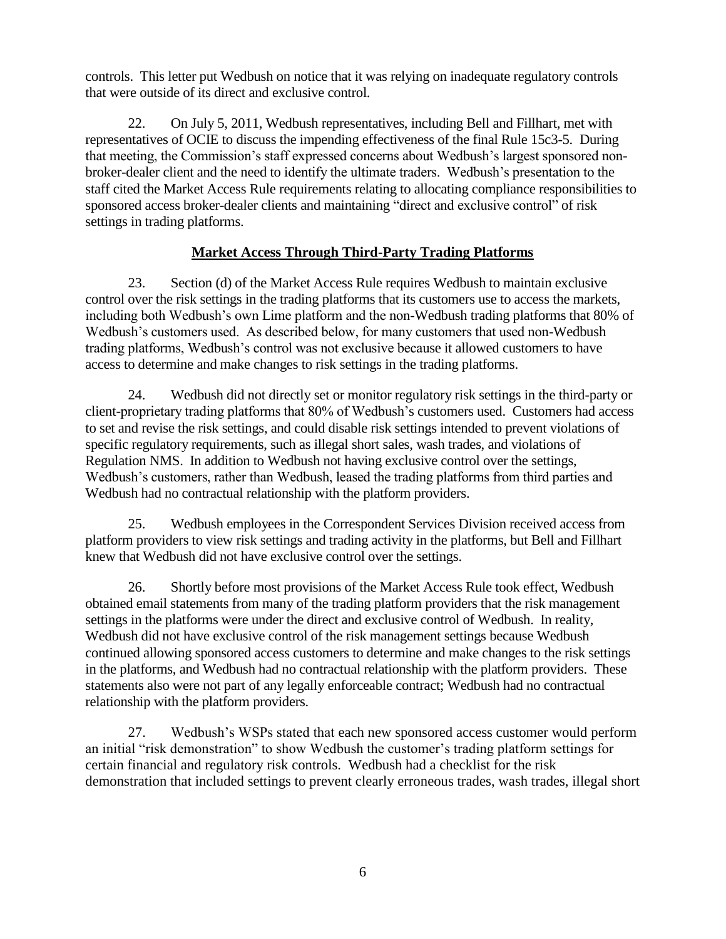controls. This letter put Wedbush on notice that it was relying on inadequate regulatory controls that were outside of its direct and exclusive control.

22. On July 5, 2011, Wedbush representatives, including Bell and Fillhart, met with representatives of OCIE to discuss the impending effectiveness of the final Rule 15c3-5. During that meeting, the Commission's staff expressed concerns about Wedbush's largest sponsored nonbroker-dealer client and the need to identify the ultimate traders. Wedbush's presentation to the staff cited the Market Access Rule requirements relating to allocating compliance responsibilities to sponsored access broker-dealer clients and maintaining "direct and exclusive control" of risk settings in trading platforms.

# **Market Access Through Third-Party Trading Platforms**

23. Section (d) of the Market Access Rule requires Wedbush to maintain exclusive control over the risk settings in the trading platforms that its customers use to access the markets, including both Wedbush's own Lime platform and the non-Wedbush trading platforms that 80% of Wedbush's customers used. As described below, for many customers that used non-Wedbush trading platforms, Wedbush's control was not exclusive because it allowed customers to have access to determine and make changes to risk settings in the trading platforms.

24. Wedbush did not directly set or monitor regulatory risk settings in the third-party or client-proprietary trading platforms that 80% of Wedbush's customers used. Customers had access to set and revise the risk settings, and could disable risk settings intended to prevent violations of specific regulatory requirements, such as illegal short sales, wash trades, and violations of Regulation NMS. In addition to Wedbush not having exclusive control over the settings, Wedbush's customers, rather than Wedbush, leased the trading platforms from third parties and Wedbush had no contractual relationship with the platform providers.

25. Wedbush employees in the Correspondent Services Division received access from platform providers to view risk settings and trading activity in the platforms, but Bell and Fillhart knew that Wedbush did not have exclusive control over the settings.

26. Shortly before most provisions of the Market Access Rule took effect, Wedbush obtained email statements from many of the trading platform providers that the risk management settings in the platforms were under the direct and exclusive control of Wedbush. In reality, Wedbush did not have exclusive control of the risk management settings because Wedbush continued allowing sponsored access customers to determine and make changes to the risk settings in the platforms, and Wedbush had no contractual relationship with the platform providers. These statements also were not part of any legally enforceable contract; Wedbush had no contractual relationship with the platform providers.

27. Wedbush's WSPs stated that each new sponsored access customer would perform an initial "risk demonstration" to show Wedbush the customer's trading platform settings for certain financial and regulatory risk controls. Wedbush had a checklist for the risk demonstration that included settings to prevent clearly erroneous trades, wash trades, illegal short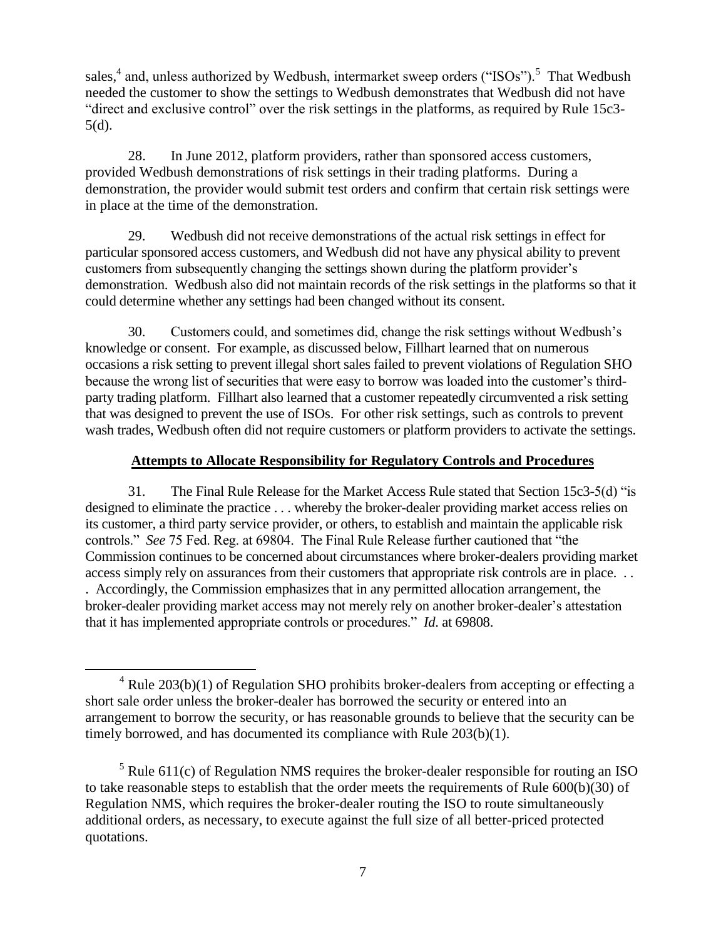sales,<sup>4</sup> and, unless authorized by Wedbush, intermarket sweep orders ("ISOs").<sup>5</sup> That Wedbush needed the customer to show the settings to Wedbush demonstrates that Wedbush did not have "direct and exclusive control" over the risk settings in the platforms, as required by Rule 15c3- 5(d).

28. In June 2012, platform providers, rather than sponsored access customers, provided Wedbush demonstrations of risk settings in their trading platforms. During a demonstration, the provider would submit test orders and confirm that certain risk settings were in place at the time of the demonstration.

29. Wedbush did not receive demonstrations of the actual risk settings in effect for particular sponsored access customers, and Wedbush did not have any physical ability to prevent customers from subsequently changing the settings shown during the platform provider's demonstration. Wedbush also did not maintain records of the risk settings in the platforms so that it could determine whether any settings had been changed without its consent.

30. Customers could, and sometimes did, change the risk settings without Wedbush's knowledge or consent. For example, as discussed below, Fillhart learned that on numerous occasions a risk setting to prevent illegal short sales failed to prevent violations of Regulation SHO because the wrong list of securities that were easy to borrow was loaded into the customer's thirdparty trading platform. Fillhart also learned that a customer repeatedly circumvented a risk setting that was designed to prevent the use of ISOs. For other risk settings, such as controls to prevent wash trades, Wedbush often did not require customers or platform providers to activate the settings.

# **Attempts to Allocate Responsibility for Regulatory Controls and Procedures**

31. The Final Rule Release for the Market Access Rule stated that Section 15c3-5(d) "is designed to eliminate the practice . . . whereby the broker-dealer providing market access relies on its customer, a third party service provider, or others, to establish and maintain the applicable risk controls." *See* 75 Fed. Reg. at 69804. The Final Rule Release further cautioned that "the Commission continues to be concerned about circumstances where broker-dealers providing market access simply rely on assurances from their customers that appropriate risk controls are in place. . . . Accordingly, the Commission emphasizes that in any permitted allocation arrangement, the broker-dealer providing market access may not merely rely on another broker-dealer's attestation that it has implemented appropriate controls or procedures." *Id*. at 69808.

 $\overline{a}$ 

 $4$  Rule 203(b)(1) of Regulation SHO prohibits broker-dealers from accepting or effecting a short sale order unless the broker-dealer has borrowed the security or entered into an arrangement to borrow the security, or has reasonable grounds to believe that the security can be timely borrowed, and has documented its compliance with Rule 203(b)(1).

 $5$  Rule 611(c) of Regulation NMS requires the broker-dealer responsible for routing an ISO to take reasonable steps to establish that the order meets the requirements of Rule 600(b)(30) of Regulation NMS, which requires the broker-dealer routing the ISO to route simultaneously additional orders, as necessary, to execute against the full size of all better-priced protected quotations.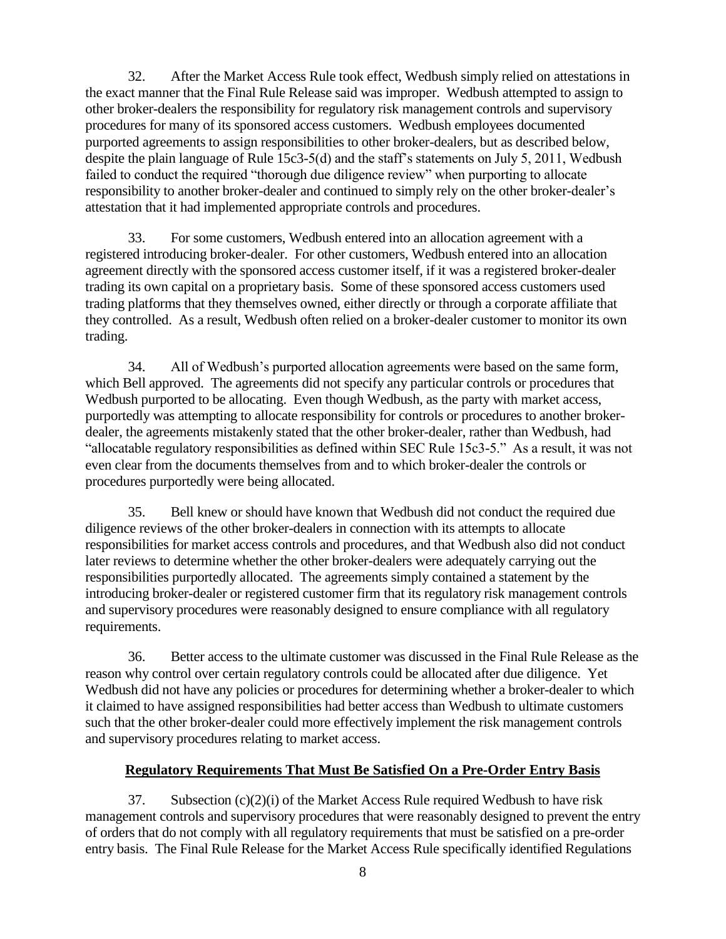32. After the Market Access Rule took effect, Wedbush simply relied on attestations in the exact manner that the Final Rule Release said was improper. Wedbush attempted to assign to other broker-dealers the responsibility for regulatory risk management controls and supervisory procedures for many of its sponsored access customers. Wedbush employees documented purported agreements to assign responsibilities to other broker-dealers, but as described below, despite the plain language of Rule 15c3-5(d) and the staff's statements on July 5, 2011, Wedbush failed to conduct the required "thorough due diligence review" when purporting to allocate responsibility to another broker-dealer and continued to simply rely on the other broker-dealer's attestation that it had implemented appropriate controls and procedures.

33. For some customers, Wedbush entered into an allocation agreement with a registered introducing broker-dealer. For other customers, Wedbush entered into an allocation agreement directly with the sponsored access customer itself, if it was a registered broker-dealer trading its own capital on a proprietary basis. Some of these sponsored access customers used trading platforms that they themselves owned, either directly or through a corporate affiliate that they controlled. As a result, Wedbush often relied on a broker-dealer customer to monitor its own trading.

34. All of Wedbush's purported allocation agreements were based on the same form, which Bell approved. The agreements did not specify any particular controls or procedures that Wedbush purported to be allocating. Even though Wedbush, as the party with market access, purportedly was attempting to allocate responsibility for controls or procedures to another brokerdealer, the agreements mistakenly stated that the other broker-dealer, rather than Wedbush, had "allocatable regulatory responsibilities as defined within SEC Rule 15c3-5." As a result, it was not even clear from the documents themselves from and to which broker-dealer the controls or procedures purportedly were being allocated.

35. Bell knew or should have known that Wedbush did not conduct the required due diligence reviews of the other broker-dealers in connection with its attempts to allocate responsibilities for market access controls and procedures, and that Wedbush also did not conduct later reviews to determine whether the other broker-dealers were adequately carrying out the responsibilities purportedly allocated. The agreements simply contained a statement by the introducing broker-dealer or registered customer firm that its regulatory risk management controls and supervisory procedures were reasonably designed to ensure compliance with all regulatory requirements.

36. Better access to the ultimate customer was discussed in the Final Rule Release as the reason why control over certain regulatory controls could be allocated after due diligence. Yet Wedbush did not have any policies or procedures for determining whether a broker-dealer to which it claimed to have assigned responsibilities had better access than Wedbush to ultimate customers such that the other broker-dealer could more effectively implement the risk management controls and supervisory procedures relating to market access.

# **Regulatory Requirements That Must Be Satisfied On a Pre-Order Entry Basis**

37. Subsection  $(c)(2)(i)$  of the Market Access Rule required Wedbush to have risk management controls and supervisory procedures that were reasonably designed to prevent the entry of orders that do not comply with all regulatory requirements that must be satisfied on a pre-order entry basis. The Final Rule Release for the Market Access Rule specifically identified Regulations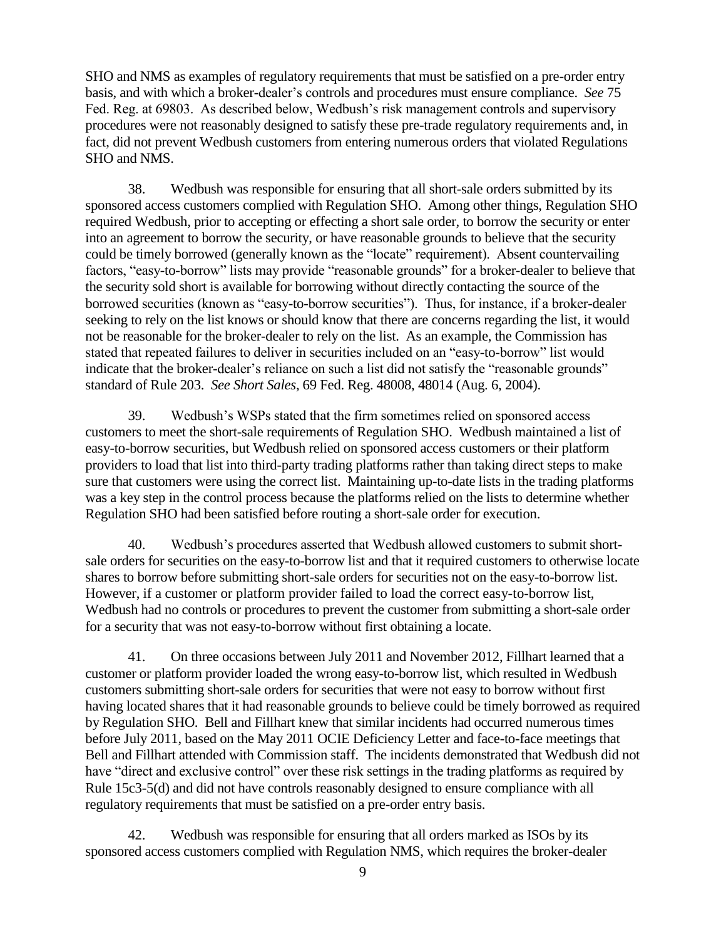SHO and NMS as examples of regulatory requirements that must be satisfied on a pre-order entry basis, and with which a broker-dealer's controls and procedures must ensure compliance. *See* 75 Fed. Reg. at 69803. As described below, Wedbush's risk management controls and supervisory procedures were not reasonably designed to satisfy these pre-trade regulatory requirements and, in fact, did not prevent Wedbush customers from entering numerous orders that violated Regulations SHO and NMS.

38. Wedbush was responsible for ensuring that all short-sale orders submitted by its sponsored access customers complied with Regulation SHO. Among other things, Regulation SHO required Wedbush, prior to accepting or effecting a short sale order, to borrow the security or enter into an agreement to borrow the security, or have reasonable grounds to believe that the security could be timely borrowed (generally known as the "locate" requirement). Absent countervailing factors, "easy-to-borrow" lists may provide "reasonable grounds" for a broker-dealer to believe that the security sold short is available for borrowing without directly contacting the source of the borrowed securities (known as "easy-to-borrow securities"). Thus, for instance, if a broker-dealer seeking to rely on the list knows or should know that there are concerns regarding the list, it would not be reasonable for the broker-dealer to rely on the list. As an example, the Commission has stated that repeated failures to deliver in securities included on an "easy-to-borrow" list would indicate that the broker-dealer's reliance on such a list did not satisfy the "reasonable grounds" standard of Rule 203. *See Short Sales*, 69 Fed. Reg. 48008, 48014 (Aug. 6, 2004).

39. Wedbush's WSPs stated that the firm sometimes relied on sponsored access customers to meet the short-sale requirements of Regulation SHO. Wedbush maintained a list of easy-to-borrow securities, but Wedbush relied on sponsored access customers or their platform providers to load that list into third-party trading platforms rather than taking direct steps to make sure that customers were using the correct list. Maintaining up-to-date lists in the trading platforms was a key step in the control process because the platforms relied on the lists to determine whether Regulation SHO had been satisfied before routing a short-sale order for execution.

40. Wedbush's procedures asserted that Wedbush allowed customers to submit shortsale orders for securities on the easy-to-borrow list and that it required customers to otherwise locate shares to borrow before submitting short-sale orders for securities not on the easy-to-borrow list. However, if a customer or platform provider failed to load the correct easy-to-borrow list, Wedbush had no controls or procedures to prevent the customer from submitting a short-sale order for a security that was not easy-to-borrow without first obtaining a locate.

41. On three occasions between July 2011 and November 2012, Fillhart learned that a customer or platform provider loaded the wrong easy-to-borrow list, which resulted in Wedbush customers submitting short-sale orders for securities that were not easy to borrow without first having located shares that it had reasonable grounds to believe could be timely borrowed as required by Regulation SHO. Bell and Fillhart knew that similar incidents had occurred numerous times before July 2011, based on the May 2011 OCIE Deficiency Letter and face-to-face meetings that Bell and Fillhart attended with Commission staff. The incidents demonstrated that Wedbush did not have "direct and exclusive control" over these risk settings in the trading platforms as required by Rule 15c3-5(d) and did not have controls reasonably designed to ensure compliance with all regulatory requirements that must be satisfied on a pre-order entry basis.

42. Wedbush was responsible for ensuring that all orders marked as ISOs by its sponsored access customers complied with Regulation NMS, which requires the broker-dealer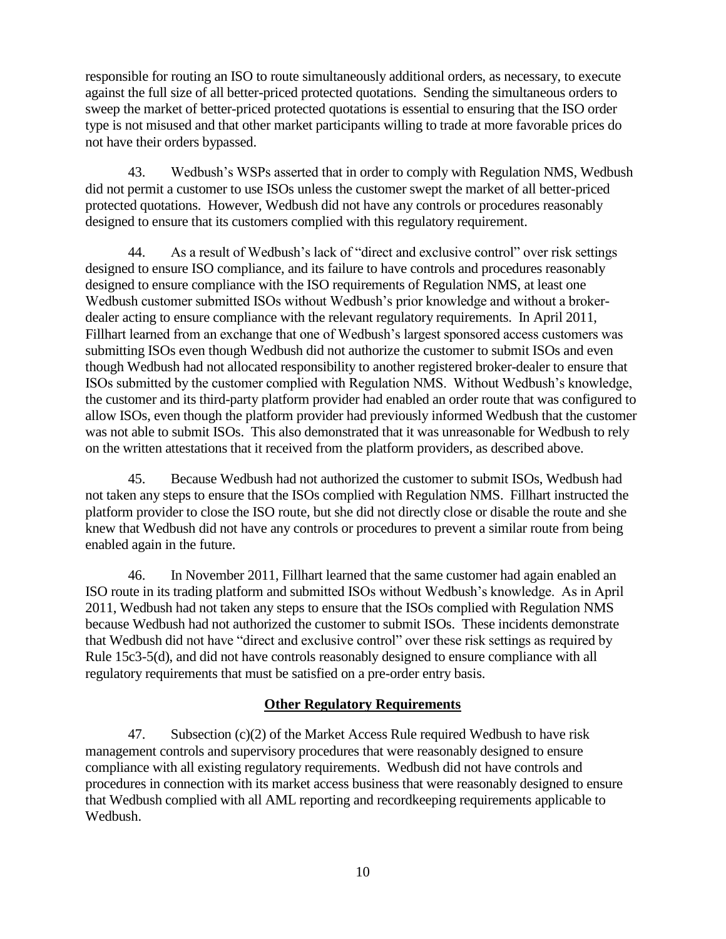responsible for routing an ISO to route simultaneously additional orders, as necessary, to execute against the full size of all better-priced protected quotations. Sending the simultaneous orders to sweep the market of better-priced protected quotations is essential to ensuring that the ISO order type is not misused and that other market participants willing to trade at more favorable prices do not have their orders bypassed.

43. Wedbush's WSPs asserted that in order to comply with Regulation NMS, Wedbush did not permit a customer to use ISOs unless the customer swept the market of all better-priced protected quotations. However, Wedbush did not have any controls or procedures reasonably designed to ensure that its customers complied with this regulatory requirement.

44. As a result of Wedbush's lack of "direct and exclusive control" over risk settings designed to ensure ISO compliance, and its failure to have controls and procedures reasonably designed to ensure compliance with the ISO requirements of Regulation NMS, at least one Wedbush customer submitted ISOs without Wedbush's prior knowledge and without a brokerdealer acting to ensure compliance with the relevant regulatory requirements. In April 2011, Fillhart learned from an exchange that one of Wedbush's largest sponsored access customers was submitting ISOs even though Wedbush did not authorize the customer to submit ISOs and even though Wedbush had not allocated responsibility to another registered broker-dealer to ensure that ISOs submitted by the customer complied with Regulation NMS. Without Wedbush's knowledge, the customer and its third-party platform provider had enabled an order route that was configured to allow ISOs, even though the platform provider had previously informed Wedbush that the customer was not able to submit ISOs. This also demonstrated that it was unreasonable for Wedbush to rely on the written attestations that it received from the platform providers, as described above.

45. Because Wedbush had not authorized the customer to submit ISOs, Wedbush had not taken any steps to ensure that the ISOs complied with Regulation NMS. Fillhart instructed the platform provider to close the ISO route, but she did not directly close or disable the route and she knew that Wedbush did not have any controls or procedures to prevent a similar route from being enabled again in the future.

46. In November 2011, Fillhart learned that the same customer had again enabled an ISO route in its trading platform and submitted ISOs without Wedbush's knowledge. As in April 2011, Wedbush had not taken any steps to ensure that the ISOs complied with Regulation NMS because Wedbush had not authorized the customer to submit ISOs. These incidents demonstrate that Wedbush did not have "direct and exclusive control" over these risk settings as required by Rule 15c3-5(d), and did not have controls reasonably designed to ensure compliance with all regulatory requirements that must be satisfied on a pre-order entry basis.

# **Other Regulatory Requirements**

47. Subsection  $(c)(2)$  of the Market Access Rule required Wedbush to have risk management controls and supervisory procedures that were reasonably designed to ensure compliance with all existing regulatory requirements. Wedbush did not have controls and procedures in connection with its market access business that were reasonably designed to ensure that Wedbush complied with all AML reporting and recordkeeping requirements applicable to Wedbush.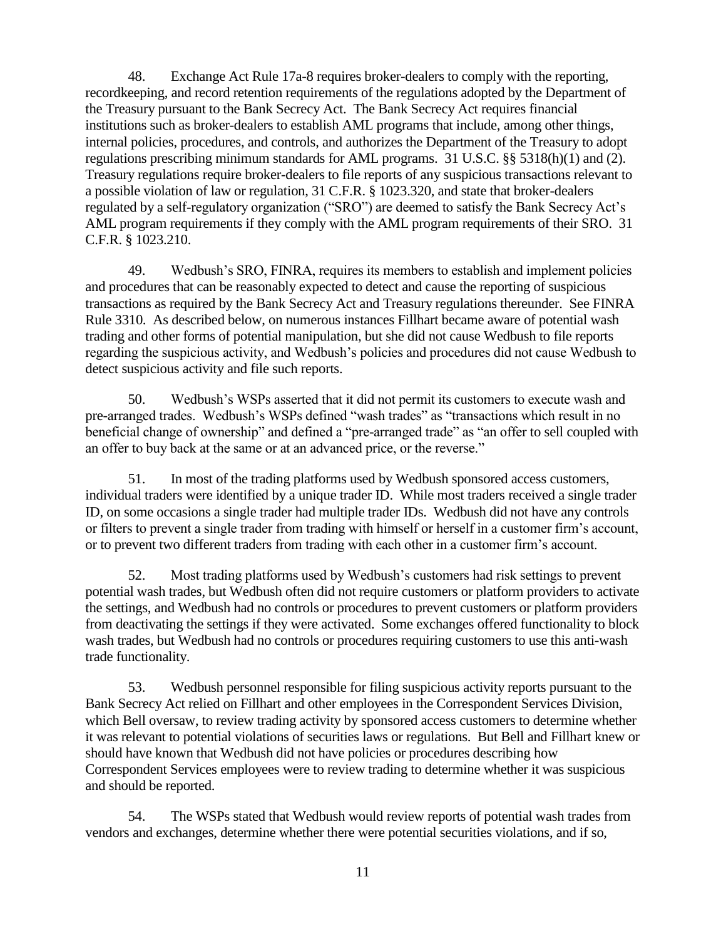48. Exchange Act Rule 17a-8 requires broker-dealers to comply with the reporting, recordkeeping, and record retention requirements of the regulations adopted by the Department of the Treasury pursuant to the Bank Secrecy Act. The Bank Secrecy Act requires financial institutions such as broker-dealers to establish AML programs that include, among other things, internal policies, procedures, and controls, and authorizes the Department of the Treasury to adopt regulations prescribing minimum standards for AML programs. 31 U.S.C. §§ 5318(h)(1) and (2). Treasury regulations require broker-dealers to file reports of any suspicious transactions relevant to a possible violation of law or regulation, 31 C.F.R. § 1023.320, and state that broker-dealers regulated by a self-regulatory organization ("SRO") are deemed to satisfy the Bank Secrecy Act's AML program requirements if they comply with the AML program requirements of their SRO. 31 C.F.R. § 1023.210.

49. Wedbush's SRO, FINRA, requires its members to establish and implement policies and procedures that can be reasonably expected to detect and cause the reporting of suspicious transactions as required by the Bank Secrecy Act and Treasury regulations thereunder. See FINRA Rule 3310. As described below, on numerous instances Fillhart became aware of potential wash trading and other forms of potential manipulation, but she did not cause Wedbush to file reports regarding the suspicious activity, and Wedbush's policies and procedures did not cause Wedbush to detect suspicious activity and file such reports.

50. Wedbush's WSPs asserted that it did not permit its customers to execute wash and pre-arranged trades. Wedbush's WSPs defined "wash trades" as "transactions which result in no beneficial change of ownership" and defined a "pre-arranged trade" as "an offer to sell coupled with an offer to buy back at the same or at an advanced price, or the reverse."

51. In most of the trading platforms used by Wedbush sponsored access customers, individual traders were identified by a unique trader ID. While most traders received a single trader ID, on some occasions a single trader had multiple trader IDs. Wedbush did not have any controls or filters to prevent a single trader from trading with himself or herself in a customer firm's account, or to prevent two different traders from trading with each other in a customer firm's account.

52. Most trading platforms used by Wedbush's customers had risk settings to prevent potential wash trades, but Wedbush often did not require customers or platform providers to activate the settings, and Wedbush had no controls or procedures to prevent customers or platform providers from deactivating the settings if they were activated. Some exchanges offered functionality to block wash trades, but Wedbush had no controls or procedures requiring customers to use this anti-wash trade functionality.

53. Wedbush personnel responsible for filing suspicious activity reports pursuant to the Bank Secrecy Act relied on Fillhart and other employees in the Correspondent Services Division, which Bell oversaw, to review trading activity by sponsored access customers to determine whether it was relevant to potential violations of securities laws or regulations. But Bell and Fillhart knew or should have known that Wedbush did not have policies or procedures describing how Correspondent Services employees were to review trading to determine whether it was suspicious and should be reported.

54. The WSPs stated that Wedbush would review reports of potential wash trades from vendors and exchanges, determine whether there were potential securities violations, and if so,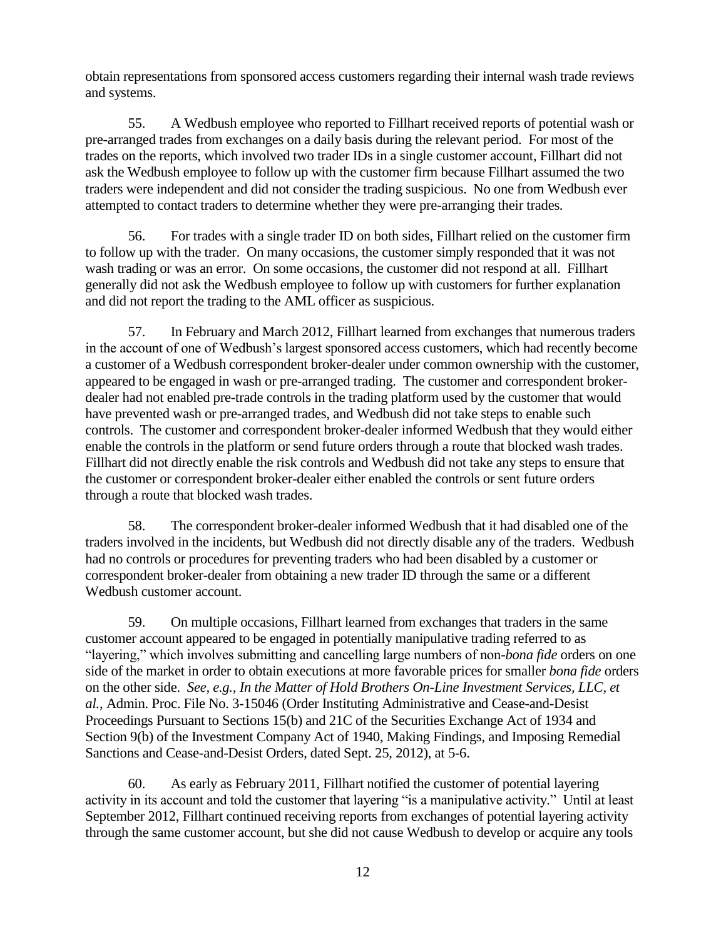obtain representations from sponsored access customers regarding their internal wash trade reviews and systems.

55. A Wedbush employee who reported to Fillhart received reports of potential wash or pre-arranged trades from exchanges on a daily basis during the relevant period. For most of the trades on the reports, which involved two trader IDs in a single customer account, Fillhart did not ask the Wedbush employee to follow up with the customer firm because Fillhart assumed the two traders were independent and did not consider the trading suspicious. No one from Wedbush ever attempted to contact traders to determine whether they were pre-arranging their trades.

56. For trades with a single trader ID on both sides, Fillhart relied on the customer firm to follow up with the trader. On many occasions, the customer simply responded that it was not wash trading or was an error. On some occasions, the customer did not respond at all. Fillhart generally did not ask the Wedbush employee to follow up with customers for further explanation and did not report the trading to the AML officer as suspicious.

57. In February and March 2012, Fillhart learned from exchanges that numerous traders in the account of one of Wedbush's largest sponsored access customers, which had recently become a customer of a Wedbush correspondent broker-dealer under common ownership with the customer, appeared to be engaged in wash or pre-arranged trading. The customer and correspondent brokerdealer had not enabled pre-trade controls in the trading platform used by the customer that would have prevented wash or pre-arranged trades, and Wedbush did not take steps to enable such controls. The customer and correspondent broker-dealer informed Wedbush that they would either enable the controls in the platform or send future orders through a route that blocked wash trades. Fillhart did not directly enable the risk controls and Wedbush did not take any steps to ensure that the customer or correspondent broker-dealer either enabled the controls or sent future orders through a route that blocked wash trades.

58. The correspondent broker-dealer informed Wedbush that it had disabled one of the traders involved in the incidents, but Wedbush did not directly disable any of the traders. Wedbush had no controls or procedures for preventing traders who had been disabled by a customer or correspondent broker-dealer from obtaining a new trader ID through the same or a different Wedbush customer account.

59. On multiple occasions, Fillhart learned from exchanges that traders in the same customer account appeared to be engaged in potentially manipulative trading referred to as "layering," which involves submitting and cancelling large numbers of non-*bona fide* orders on one side of the market in order to obtain executions at more favorable prices for smaller *bona fide* orders on the other side. *See, e.g., In the Matter of Hold Brothers On-Line Investment Services, LLC, et al.*, Admin. Proc. File No. 3-15046 (Order Instituting Administrative and Cease-and-Desist Proceedings Pursuant to Sections 15(b) and 21C of the Securities Exchange Act of 1934 and Section 9(b) of the Investment Company Act of 1940, Making Findings, and Imposing Remedial Sanctions and Cease-and-Desist Orders, dated Sept. 25, 2012), at 5-6.

60. As early as February 2011, Fillhart notified the customer of potential layering activity in its account and told the customer that layering "is a manipulative activity." Until at least September 2012, Fillhart continued receiving reports from exchanges of potential layering activity through the same customer account, but she did not cause Wedbush to develop or acquire any tools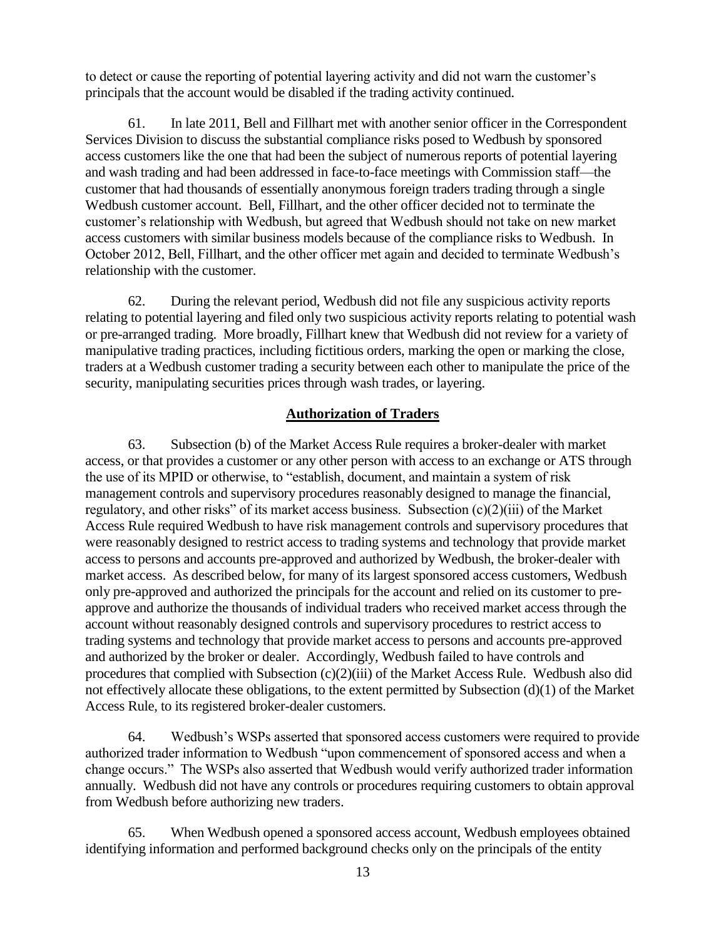to detect or cause the reporting of potential layering activity and did not warn the customer's principals that the account would be disabled if the trading activity continued.

61. In late 2011, Bell and Fillhart met with another senior officer in the Correspondent Services Division to discuss the substantial compliance risks posed to Wedbush by sponsored access customers like the one that had been the subject of numerous reports of potential layering and wash trading and had been addressed in face-to-face meetings with Commission staff—the customer that had thousands of essentially anonymous foreign traders trading through a single Wedbush customer account. Bell, Fillhart, and the other officer decided not to terminate the customer's relationship with Wedbush, but agreed that Wedbush should not take on new market access customers with similar business models because of the compliance risks to Wedbush. In October 2012, Bell, Fillhart, and the other officer met again and decided to terminate Wedbush's relationship with the customer.

62. During the relevant period, Wedbush did not file any suspicious activity reports relating to potential layering and filed only two suspicious activity reports relating to potential wash or pre-arranged trading. More broadly, Fillhart knew that Wedbush did not review for a variety of manipulative trading practices, including fictitious orders, marking the open or marking the close, traders at a Wedbush customer trading a security between each other to manipulate the price of the security, manipulating securities prices through wash trades, or layering.

#### **Authorization of Traders**

63. Subsection (b) of the Market Access Rule requires a broker-dealer with market access, or that provides a customer or any other person with access to an exchange or ATS through the use of its MPID or otherwise, to "establish, document, and maintain a system of risk management controls and supervisory procedures reasonably designed to manage the financial, regulatory, and other risks" of its market access business. Subsection (c)(2)(iii) of the Market Access Rule required Wedbush to have risk management controls and supervisory procedures that were reasonably designed to restrict access to trading systems and technology that provide market access to persons and accounts pre-approved and authorized by Wedbush, the broker-dealer with market access. As described below, for many of its largest sponsored access customers, Wedbush only pre-approved and authorized the principals for the account and relied on its customer to preapprove and authorize the thousands of individual traders who received market access through the account without reasonably designed controls and supervisory procedures to restrict access to trading systems and technology that provide market access to persons and accounts pre-approved and authorized by the broker or dealer. Accordingly, Wedbush failed to have controls and procedures that complied with Subsection (c)(2)(iii) of the Market Access Rule. Wedbush also did not effectively allocate these obligations, to the extent permitted by Subsection (d)(1) of the Market Access Rule, to its registered broker-dealer customers.

64. Wedbush's WSPs asserted that sponsored access customers were required to provide authorized trader information to Wedbush "upon commencement of sponsored access and when a change occurs." The WSPs also asserted that Wedbush would verify authorized trader information annually. Wedbush did not have any controls or procedures requiring customers to obtain approval from Wedbush before authorizing new traders.

65. When Wedbush opened a sponsored access account, Wedbush employees obtained identifying information and performed background checks only on the principals of the entity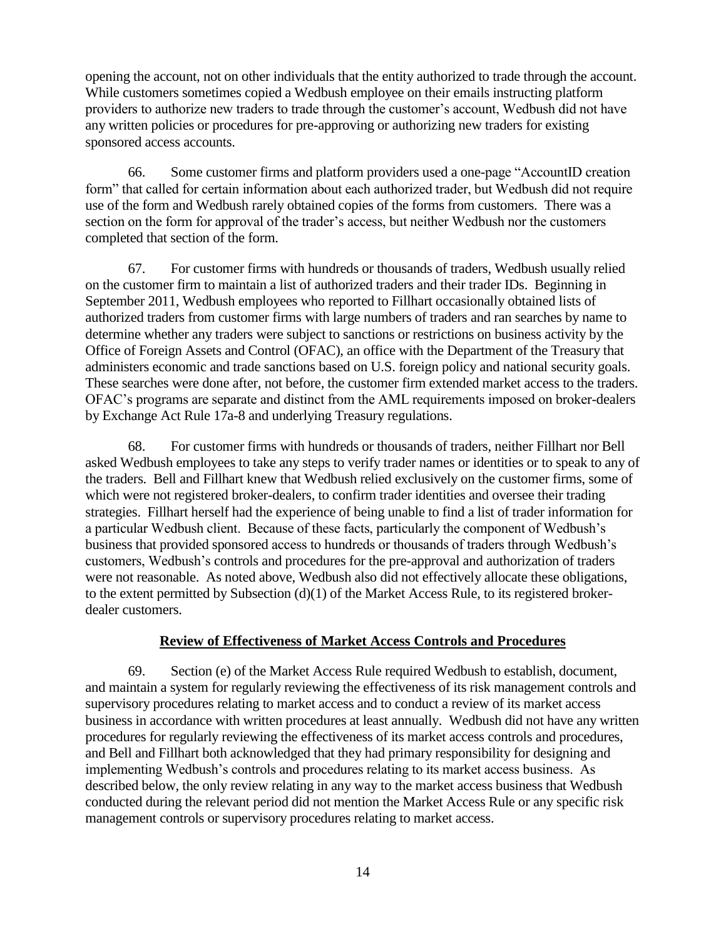opening the account, not on other individuals that the entity authorized to trade through the account. While customers sometimes copied a Wedbush employee on their emails instructing platform providers to authorize new traders to trade through the customer's account, Wedbush did not have any written policies or procedures for pre-approving or authorizing new traders for existing sponsored access accounts.

66. Some customer firms and platform providers used a one-page "AccountID creation form" that called for certain information about each authorized trader, but Wedbush did not require use of the form and Wedbush rarely obtained copies of the forms from customers. There was a section on the form for approval of the trader's access, but neither Wedbush nor the customers completed that section of the form.

67. For customer firms with hundreds or thousands of traders, Wedbush usually relied on the customer firm to maintain a list of authorized traders and their trader IDs. Beginning in September 2011, Wedbush employees who reported to Fillhart occasionally obtained lists of authorized traders from customer firms with large numbers of traders and ran searches by name to determine whether any traders were subject to sanctions or restrictions on business activity by the Office of Foreign Assets and Control (OFAC), an office with the Department of the Treasury that administers economic and trade sanctions based on U.S. foreign policy and national security goals. These searches were done after, not before, the customer firm extended market access to the traders. OFAC's programs are separate and distinct from the AML requirements imposed on broker-dealers by Exchange Act Rule 17a-8 and underlying Treasury regulations.

68. For customer firms with hundreds or thousands of traders, neither Fillhart nor Bell asked Wedbush employees to take any steps to verify trader names or identities or to speak to any of the traders. Bell and Fillhart knew that Wedbush relied exclusively on the customer firms, some of which were not registered broker-dealers, to confirm trader identities and oversee their trading strategies. Fillhart herself had the experience of being unable to find a list of trader information for a particular Wedbush client. Because of these facts, particularly the component of Wedbush's business that provided sponsored access to hundreds or thousands of traders through Wedbush's customers, Wedbush's controls and procedures for the pre-approval and authorization of traders were not reasonable. As noted above, Wedbush also did not effectively allocate these obligations, to the extent permitted by Subsection (d)(1) of the Market Access Rule, to its registered brokerdealer customers.

### **Review of Effectiveness of Market Access Controls and Procedures**

69. Section (e) of the Market Access Rule required Wedbush to establish, document, and maintain a system for regularly reviewing the effectiveness of its risk management controls and supervisory procedures relating to market access and to conduct a review of its market access business in accordance with written procedures at least annually. Wedbush did not have any written procedures for regularly reviewing the effectiveness of its market access controls and procedures, and Bell and Fillhart both acknowledged that they had primary responsibility for designing and implementing Wedbush's controls and procedures relating to its market access business. As described below, the only review relating in any way to the market access business that Wedbush conducted during the relevant period did not mention the Market Access Rule or any specific risk management controls or supervisory procedures relating to market access.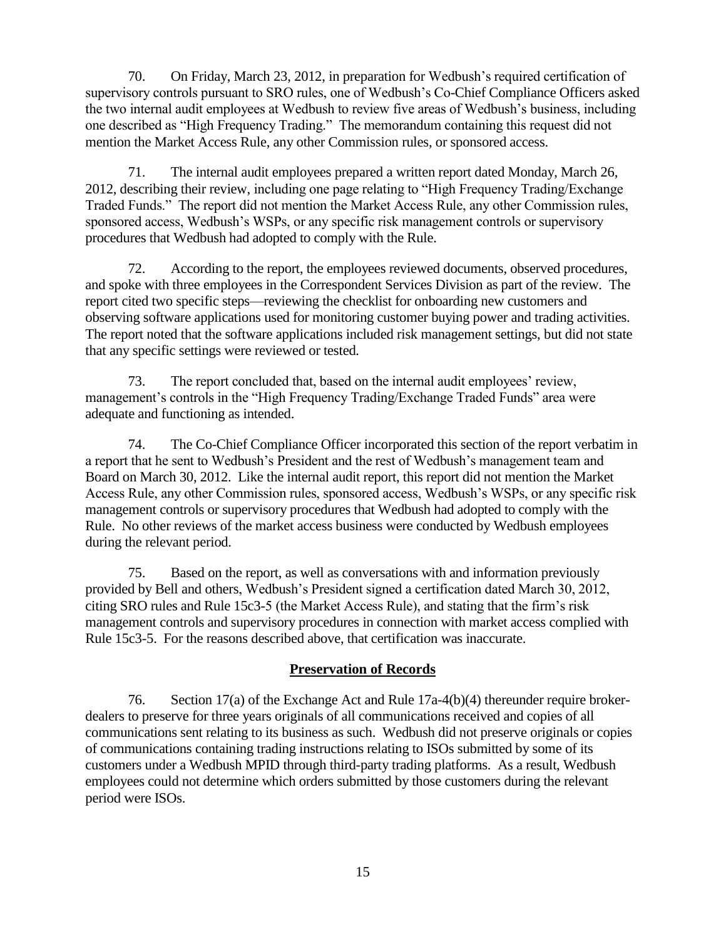70. On Friday, March 23, 2012, in preparation for Wedbush's required certification of supervisory controls pursuant to SRO rules, one of Wedbush's Co-Chief Compliance Officers asked the two internal audit employees at Wedbush to review five areas of Wedbush's business, including one described as "High Frequency Trading." The memorandum containing this request did not mention the Market Access Rule, any other Commission rules, or sponsored access.

71. The internal audit employees prepared a written report dated Monday, March 26, 2012, describing their review, including one page relating to "High Frequency Trading/Exchange Traded Funds." The report did not mention the Market Access Rule, any other Commission rules, sponsored access, Wedbush's WSPs, or any specific risk management controls or supervisory procedures that Wedbush had adopted to comply with the Rule.

72. According to the report, the employees reviewed documents, observed procedures, and spoke with three employees in the Correspondent Services Division as part of the review. The report cited two specific steps—reviewing the checklist for onboarding new customers and observing software applications used for monitoring customer buying power and trading activities. The report noted that the software applications included risk management settings, but did not state that any specific settings were reviewed or tested.

73. The report concluded that, based on the internal audit employees' review, management's controls in the "High Frequency Trading/Exchange Traded Funds" area were adequate and functioning as intended.

74. The Co-Chief Compliance Officer incorporated this section of the report verbatim in a report that he sent to Wedbush's President and the rest of Wedbush's management team and Board on March 30, 2012. Like the internal audit report, this report did not mention the Market Access Rule, any other Commission rules, sponsored access, Wedbush's WSPs, or any specific risk management controls or supervisory procedures that Wedbush had adopted to comply with the Rule. No other reviews of the market access business were conducted by Wedbush employees during the relevant period.

75. Based on the report, as well as conversations with and information previously provided by Bell and others, Wedbush's President signed a certification dated March 30, 2012, citing SRO rules and Rule 15c3-5 (the Market Access Rule), and stating that the firm's risk management controls and supervisory procedures in connection with market access complied with Rule 15c3-5. For the reasons described above, that certification was inaccurate.

# **Preservation of Records**

76. Section 17(a) of the Exchange Act and Rule 17a-4(b)(4) thereunder require brokerdealers to preserve for three years originals of all communications received and copies of all communications sent relating to its business as such. Wedbush did not preserve originals or copies of communications containing trading instructions relating to ISOs submitted by some of its customers under a Wedbush MPID through third-party trading platforms. As a result, Wedbush employees could not determine which orders submitted by those customers during the relevant period were ISOs.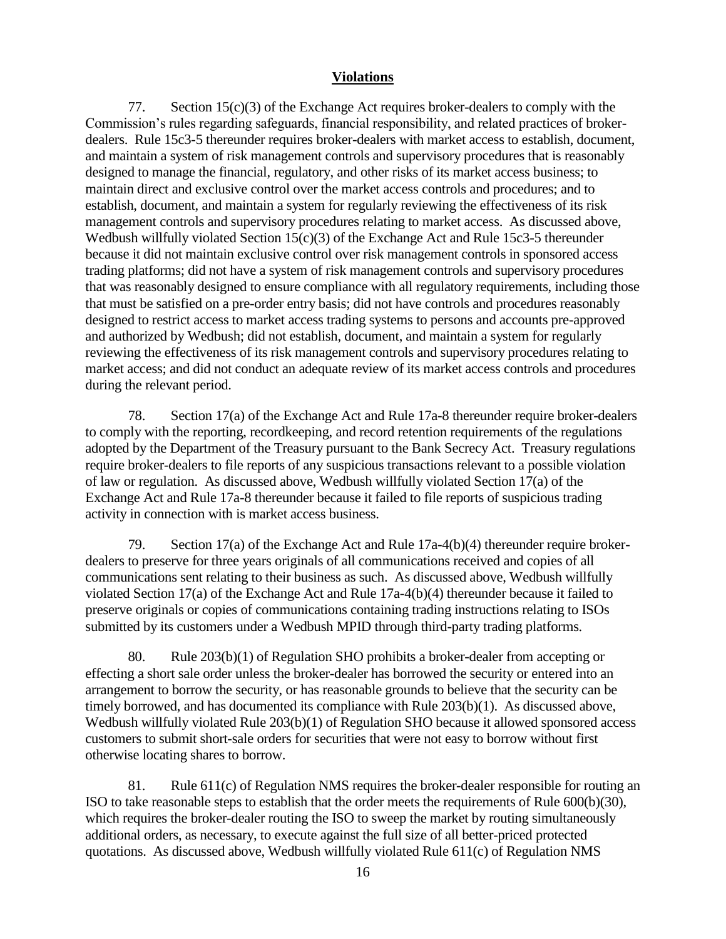## **Violations**

77. Section  $15(c)(3)$  of the Exchange Act requires broker-dealers to comply with the Commission's rules regarding safeguards, financial responsibility, and related practices of brokerdealers. Rule 15c3-5 thereunder requires broker-dealers with market access to establish, document, and maintain a system of risk management controls and supervisory procedures that is reasonably designed to manage the financial, regulatory, and other risks of its market access business; to maintain direct and exclusive control over the market access controls and procedures; and to establish, document, and maintain a system for regularly reviewing the effectiveness of its risk management controls and supervisory procedures relating to market access. As discussed above, Wedbush willfully violated Section 15(c)(3) of the Exchange Act and Rule 15c3-5 thereunder because it did not maintain exclusive control over risk management controls in sponsored access trading platforms; did not have a system of risk management controls and supervisory procedures that was reasonably designed to ensure compliance with all regulatory requirements, including those that must be satisfied on a pre-order entry basis; did not have controls and procedures reasonably designed to restrict access to market access trading systems to persons and accounts pre-approved and authorized by Wedbush; did not establish, document, and maintain a system for regularly reviewing the effectiveness of its risk management controls and supervisory procedures relating to market access; and did not conduct an adequate review of its market access controls and procedures during the relevant period.

78. Section 17(a) of the Exchange Act and Rule 17a-8 thereunder require broker-dealers to comply with the reporting, recordkeeping, and record retention requirements of the regulations adopted by the Department of the Treasury pursuant to the Bank Secrecy Act. Treasury regulations require broker-dealers to file reports of any suspicious transactions relevant to a possible violation of law or regulation. As discussed above, Wedbush willfully violated Section 17(a) of the Exchange Act and Rule 17a-8 thereunder because it failed to file reports of suspicious trading activity in connection with is market access business.

79. Section 17(a) of the Exchange Act and Rule 17a-4(b)(4) thereunder require brokerdealers to preserve for three years originals of all communications received and copies of all communications sent relating to their business as such. As discussed above, Wedbush willfully violated Section 17(a) of the Exchange Act and Rule 17a-4(b)(4) thereunder because it failed to preserve originals or copies of communications containing trading instructions relating to ISOs submitted by its customers under a Wedbush MPID through third-party trading platforms.

80. Rule 203(b)(1) of Regulation SHO prohibits a broker-dealer from accepting or effecting a short sale order unless the broker-dealer has borrowed the security or entered into an arrangement to borrow the security, or has reasonable grounds to believe that the security can be timely borrowed, and has documented its compliance with Rule 203(b)(1). As discussed above, Wedbush willfully violated Rule 203(b)(1) of Regulation SHO because it allowed sponsored access customers to submit short-sale orders for securities that were not easy to borrow without first otherwise locating shares to borrow.

81. Rule 611(c) of Regulation NMS requires the broker-dealer responsible for routing an ISO to take reasonable steps to establish that the order meets the requirements of Rule 600(b)(30), which requires the broker-dealer routing the ISO to sweep the market by routing simultaneously additional orders, as necessary, to execute against the full size of all better-priced protected quotations. As discussed above, Wedbush willfully violated Rule 611(c) of Regulation NMS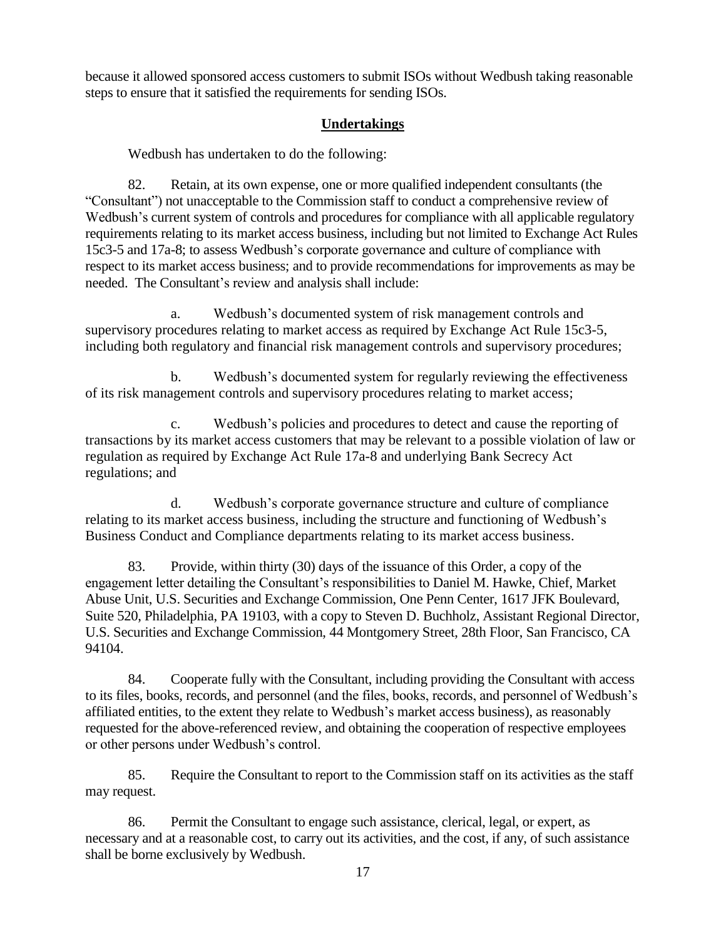because it allowed sponsored access customers to submit ISOs without Wedbush taking reasonable steps to ensure that it satisfied the requirements for sending ISOs.

# **Undertakings**

Wedbush has undertaken to do the following:

82. Retain, at its own expense, one or more qualified independent consultants (the "Consultant") not unacceptable to the Commission staff to conduct a comprehensive review of Wedbush's current system of controls and procedures for compliance with all applicable regulatory requirements relating to its market access business, including but not limited to Exchange Act Rules 15c3-5 and 17a-8; to assess Wedbush's corporate governance and culture of compliance with respect to its market access business; and to provide recommendations for improvements as may be needed. The Consultant's review and analysis shall include:

a. Wedbush's documented system of risk management controls and supervisory procedures relating to market access as required by Exchange Act Rule 15c3-5, including both regulatory and financial risk management controls and supervisory procedures;

b. Wedbush's documented system for regularly reviewing the effectiveness of its risk management controls and supervisory procedures relating to market access;

c. Wedbush's policies and procedures to detect and cause the reporting of transactions by its market access customers that may be relevant to a possible violation of law or regulation as required by Exchange Act Rule 17a-8 and underlying Bank Secrecy Act regulations; and

d. Wedbush's corporate governance structure and culture of compliance relating to its market access business, including the structure and functioning of Wedbush's Business Conduct and Compliance departments relating to its market access business.

83. Provide, within thirty (30) days of the issuance of this Order, a copy of the engagement letter detailing the Consultant's responsibilities to Daniel M. Hawke, Chief, Market Abuse Unit, U.S. Securities and Exchange Commission, One Penn Center, 1617 JFK Boulevard, Suite 520, Philadelphia, PA 19103, with a copy to Steven D. Buchholz, Assistant Regional Director, U.S. Securities and Exchange Commission, 44 Montgomery Street, 28th Floor, San Francisco, CA 94104.

84. Cooperate fully with the Consultant, including providing the Consultant with access to its files, books, records, and personnel (and the files, books, records, and personnel of Wedbush's affiliated entities, to the extent they relate to Wedbush's market access business), as reasonably requested for the above-referenced review, and obtaining the cooperation of respective employees or other persons under Wedbush's control.

85. Require the Consultant to report to the Commission staff on its activities as the staff may request.

86. Permit the Consultant to engage such assistance, clerical, legal, or expert, as necessary and at a reasonable cost, to carry out its activities, and the cost, if any, of such assistance shall be borne exclusively by Wedbush.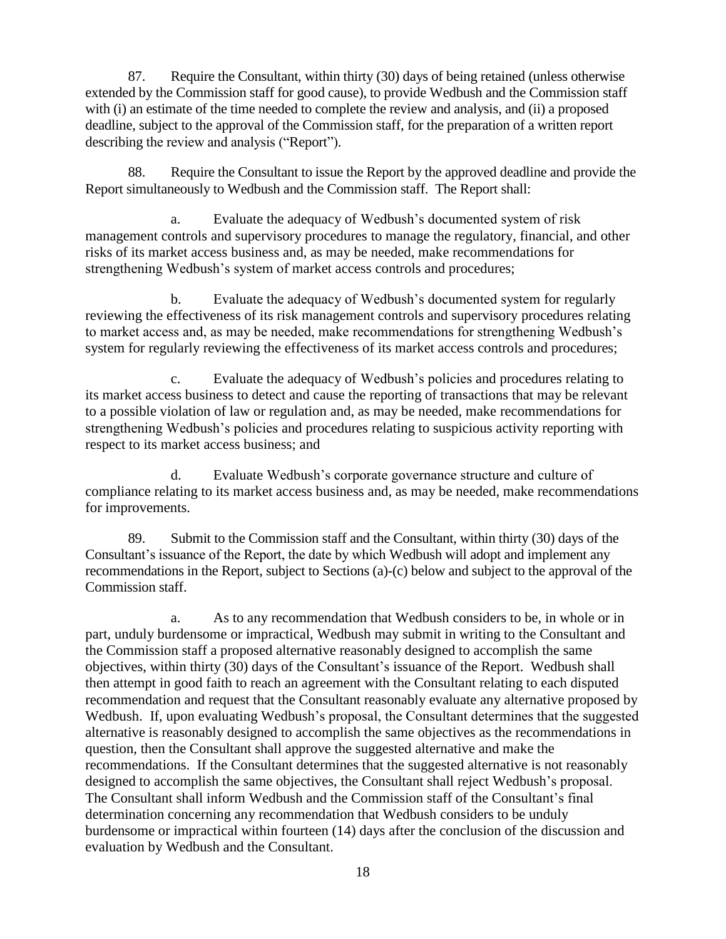87. Require the Consultant, within thirty (30) days of being retained (unless otherwise extended by the Commission staff for good cause), to provide Wedbush and the Commission staff with (i) an estimate of the time needed to complete the review and analysis, and (ii) a proposed deadline, subject to the approval of the Commission staff, for the preparation of a written report describing the review and analysis ("Report").

88. Require the Consultant to issue the Report by the approved deadline and provide the Report simultaneously to Wedbush and the Commission staff. The Report shall:

a. Evaluate the adequacy of Wedbush's documented system of risk management controls and supervisory procedures to manage the regulatory, financial, and other risks of its market access business and, as may be needed, make recommendations for strengthening Wedbush's system of market access controls and procedures;

b. Evaluate the adequacy of Wedbush's documented system for regularly reviewing the effectiveness of its risk management controls and supervisory procedures relating to market access and, as may be needed, make recommendations for strengthening Wedbush's system for regularly reviewing the effectiveness of its market access controls and procedures;

c. Evaluate the adequacy of Wedbush's policies and procedures relating to its market access business to detect and cause the reporting of transactions that may be relevant to a possible violation of law or regulation and, as may be needed, make recommendations for strengthening Wedbush's policies and procedures relating to suspicious activity reporting with respect to its market access business; and

d. Evaluate Wedbush's corporate governance structure and culture of compliance relating to its market access business and, as may be needed, make recommendations for improvements.

89. Submit to the Commission staff and the Consultant, within thirty (30) days of the Consultant's issuance of the Report, the date by which Wedbush will adopt and implement any recommendations in the Report, subject to Sections (a)-(c) below and subject to the approval of the Commission staff.

a. As to any recommendation that Wedbush considers to be, in whole or in part, unduly burdensome or impractical, Wedbush may submit in writing to the Consultant and the Commission staff a proposed alternative reasonably designed to accomplish the same objectives, within thirty (30) days of the Consultant's issuance of the Report. Wedbush shall then attempt in good faith to reach an agreement with the Consultant relating to each disputed recommendation and request that the Consultant reasonably evaluate any alternative proposed by Wedbush. If, upon evaluating Wedbush's proposal, the Consultant determines that the suggested alternative is reasonably designed to accomplish the same objectives as the recommendations in question, then the Consultant shall approve the suggested alternative and make the recommendations. If the Consultant determines that the suggested alternative is not reasonably designed to accomplish the same objectives, the Consultant shall reject Wedbush's proposal. The Consultant shall inform Wedbush and the Commission staff of the Consultant's final determination concerning any recommendation that Wedbush considers to be unduly burdensome or impractical within fourteen (14) days after the conclusion of the discussion and evaluation by Wedbush and the Consultant.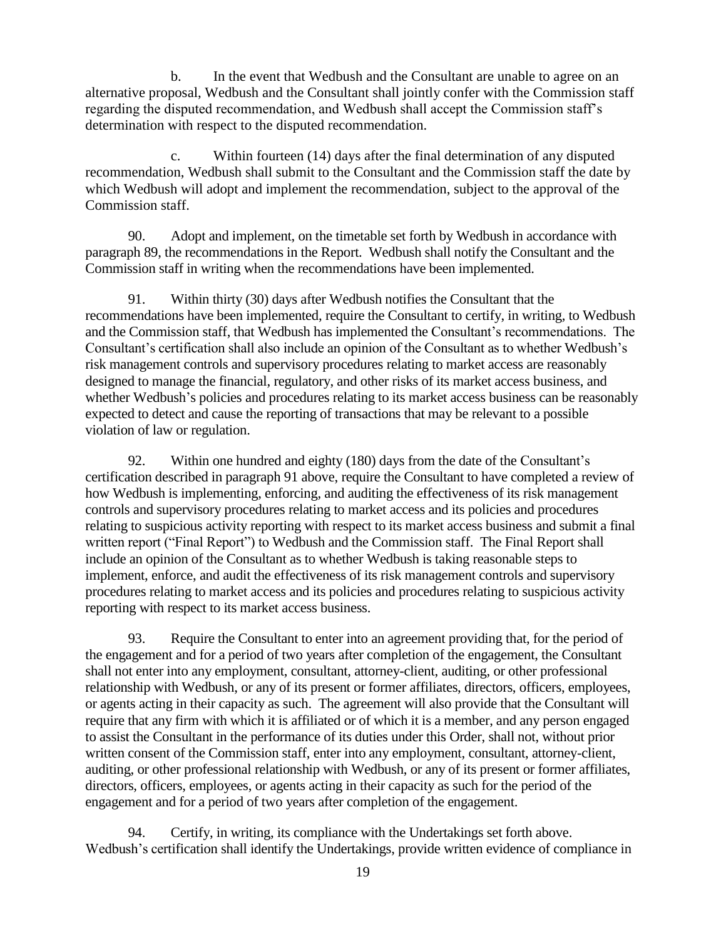b. In the event that Wedbush and the Consultant are unable to agree on an alternative proposal, Wedbush and the Consultant shall jointly confer with the Commission staff regarding the disputed recommendation, and Wedbush shall accept the Commission staff's determination with respect to the disputed recommendation.

c. Within fourteen (14) days after the final determination of any disputed recommendation, Wedbush shall submit to the Consultant and the Commission staff the date by which Wedbush will adopt and implement the recommendation, subject to the approval of the Commission staff.

90. Adopt and implement, on the timetable set forth by Wedbush in accordance with paragraph 89, the recommendations in the Report. Wedbush shall notify the Consultant and the Commission staff in writing when the recommendations have been implemented.

91. Within thirty (30) days after Wedbush notifies the Consultant that the recommendations have been implemented, require the Consultant to certify, in writing, to Wedbush and the Commission staff, that Wedbush has implemented the Consultant's recommendations. The Consultant's certification shall also include an opinion of the Consultant as to whether Wedbush's risk management controls and supervisory procedures relating to market access are reasonably designed to manage the financial, regulatory, and other risks of its market access business, and whether Wedbush's policies and procedures relating to its market access business can be reasonably expected to detect and cause the reporting of transactions that may be relevant to a possible violation of law or regulation.

92. Within one hundred and eighty (180) days from the date of the Consultant's certification described in paragraph 91 above, require the Consultant to have completed a review of how Wedbush is implementing, enforcing, and auditing the effectiveness of its risk management controls and supervisory procedures relating to market access and its policies and procedures relating to suspicious activity reporting with respect to its market access business and submit a final written report ("Final Report") to Wedbush and the Commission staff. The Final Report shall include an opinion of the Consultant as to whether Wedbush is taking reasonable steps to implement, enforce, and audit the effectiveness of its risk management controls and supervisory procedures relating to market access and its policies and procedures relating to suspicious activity reporting with respect to its market access business.

93. Require the Consultant to enter into an agreement providing that, for the period of the engagement and for a period of two years after completion of the engagement, the Consultant shall not enter into any employment, consultant, attorney-client, auditing, or other professional relationship with Wedbush, or any of its present or former affiliates, directors, officers, employees, or agents acting in their capacity as such. The agreement will also provide that the Consultant will require that any firm with which it is affiliated or of which it is a member, and any person engaged to assist the Consultant in the performance of its duties under this Order, shall not, without prior written consent of the Commission staff, enter into any employment, consultant, attorney-client, auditing, or other professional relationship with Wedbush, or any of its present or former affiliates, directors, officers, employees, or agents acting in their capacity as such for the period of the engagement and for a period of two years after completion of the engagement.

94. Certify, in writing, its compliance with the Undertakings set forth above. Wedbush's certification shall identify the Undertakings, provide written evidence of compliance in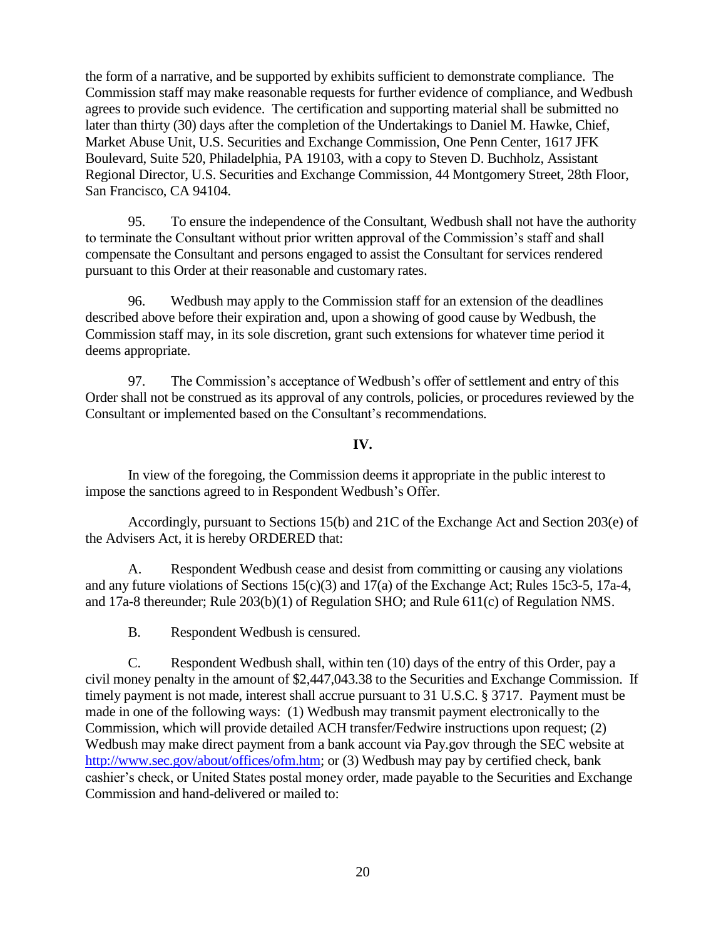the form of a narrative, and be supported by exhibits sufficient to demonstrate compliance. The Commission staff may make reasonable requests for further evidence of compliance, and Wedbush agrees to provide such evidence. The certification and supporting material shall be submitted no later than thirty (30) days after the completion of the Undertakings to Daniel M. Hawke, Chief, Market Abuse Unit, U.S. Securities and Exchange Commission, One Penn Center, 1617 JFK Boulevard, Suite 520, Philadelphia, PA 19103, with a copy to Steven D. Buchholz, Assistant Regional Director, U.S. Securities and Exchange Commission, 44 Montgomery Street, 28th Floor, San Francisco, CA 94104.

95. To ensure the independence of the Consultant, Wedbush shall not have the authority to terminate the Consultant without prior written approval of the Commission's staff and shall compensate the Consultant and persons engaged to assist the Consultant for services rendered pursuant to this Order at their reasonable and customary rates.

96. Wedbush may apply to the Commission staff for an extension of the deadlines described above before their expiration and, upon a showing of good cause by Wedbush, the Commission staff may, in its sole discretion, grant such extensions for whatever time period it deems appropriate.

97. The Commission's acceptance of Wedbush's offer of settlement and entry of this Order shall not be construed as its approval of any controls, policies, or procedures reviewed by the Consultant or implemented based on the Consultant's recommendations.

## **IV.**

In view of the foregoing, the Commission deems it appropriate in the public interest to impose the sanctions agreed to in Respondent Wedbush's Offer.

Accordingly, pursuant to Sections 15(b) and 21C of the Exchange Act and Section 203(e) of the Advisers Act, it is hereby ORDERED that:

A. Respondent Wedbush cease and desist from committing or causing any violations and any future violations of Sections 15(c)(3) and 17(a) of the Exchange Act; Rules 15c3-5, 17a-4, and 17a-8 thereunder; Rule 203(b)(1) of Regulation SHO; and Rule 611(c) of Regulation NMS.

B. Respondent Wedbush is censured.

C. Respondent Wedbush shall, within ten (10) days of the entry of this Order, pay a civil money penalty in the amount of \$2,447,043.38 to the Securities and Exchange Commission. If timely payment is not made, interest shall accrue pursuant to 31 U.S.C. § 3717. Payment must be made in one of the following ways: (1) Wedbush may transmit payment electronically to the Commission, which will provide detailed ACH transfer/Fedwire instructions upon request; (2) Wedbush may make direct payment from a bank account via Pay.gov through the SEC website at http://www.sec.gov/about/offices/ofm.htm; or (3) Wedbush may pay by certified check, bank cashier's check, or United States postal money order, made payable to the Securities and Exchange Commission and hand-delivered or mailed to: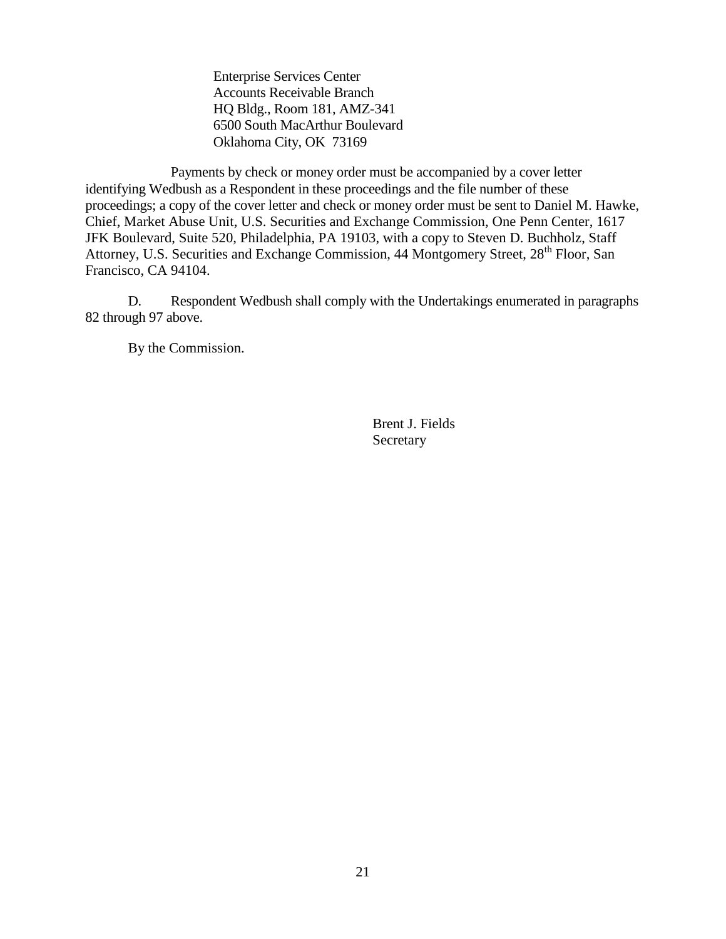Enterprise Services Center Accounts Receivable Branch HQ Bldg., Room 181, AMZ-341 6500 South MacArthur Boulevard Oklahoma City, OK 73169

Payments by check or money order must be accompanied by a cover letter identifying Wedbush as a Respondent in these proceedings and the file number of these proceedings; a copy of the cover letter and check or money order must be sent to Daniel M. Hawke, Chief, Market Abuse Unit, U.S. Securities and Exchange Commission, One Penn Center, 1617 JFK Boulevard, Suite 520, Philadelphia, PA 19103, with a copy to Steven D. Buchholz, Staff Attorney, U.S. Securities and Exchange Commission, 44 Montgomery Street, 28<sup>th</sup> Floor, San Francisco, CA 94104.

D. Respondent Wedbush shall comply with the Undertakings enumerated in paragraphs 82 through 97 above.

By the Commission.

Brent J. Fields Secretary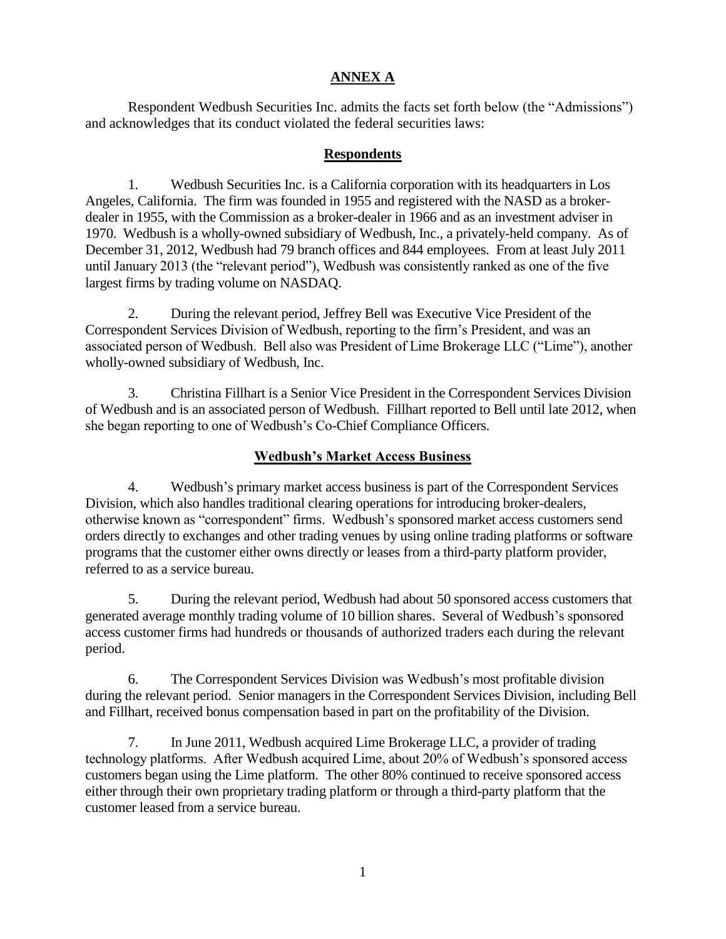## **ANNEX A**

Respondent Wedbush Securities Inc. admits the facts set forth below (the "Admissions") and acknowledges that its conduct violated the federal securities laws:

### **Respondents**

1. Wedbush Securities Inc. is a California corporation with its headquarters in Los Angeles, California. The firm was founded in 1955 and registered with the NASD as a brokerdealer in 1955, with the Commission as a broker-dealer in 1966 and as an investment adviser in 1970. Wedbush is a wholly-owned subsidiary of Wedbush, Inc., a privately-held company. As of December 31, 2012, Wedbush had 79 branch offices and 844 employees. From at least July 2011 until January 2013 (the "relevant period"), Wedbush was consistently ranked as one of the five largest firms by trading volume on NASDAQ.

2. During the relevant period, Jeffrey Bell was Executive Vice President of the Correspondent Services Division of Wedbush, reporting to the firm's President, and was an associated person of Wedbush. Bell also was President of Lime Brokerage LLC ("Lime"), another wholly-owned subsidiary of Wedbush, Inc.

3. Christina Fillhart is a Senior Vice President in the Correspondent Services Division of Wedbush and is an associated person of Wedbush. Fillhart reported to Bell until late 2012, when she began reporting to one of Wedbush's Co-Chief Compliance Officers.

# **Wedbush's Market Access Business**

4. Wedbush's primary market access business is part of the Correspondent Services Division, which also handles traditional clearing operations for introducing broker-dealers, otherwise known as "correspondent" firms. Wedbush's sponsored market access customers send orders directly to exchanges and other trading venues by using online trading platforms or software programs that the customer either owns directly or leases from a third-party platform provider, referred to as a service bureau.

5. During the relevant period, Wedbush had about 50 sponsored access customers that generated average monthly trading volume of 10 billion shares. Several of Wedbush's sponsored access customer firms had hundreds or thousands of authorized traders each during the relevant period.

6. The Correspondent Services Division was Wedbush's most profitable division during the relevant period. Senior managers in the Correspondent Services Division, including Bell and Fillhart, received bonus compensation based in part on the profitability of the Division.

7. In June 2011, Wedbush acquired Lime Brokerage LLC, a provider of trading technology platforms. After Wedbush acquired Lime, about 20% of Wedbush's sponsored access customers began using the Lime platform. The other 80% continued to receive sponsored access either through their own proprietary trading platform or through a third-party platform that the customer leased from a service bureau.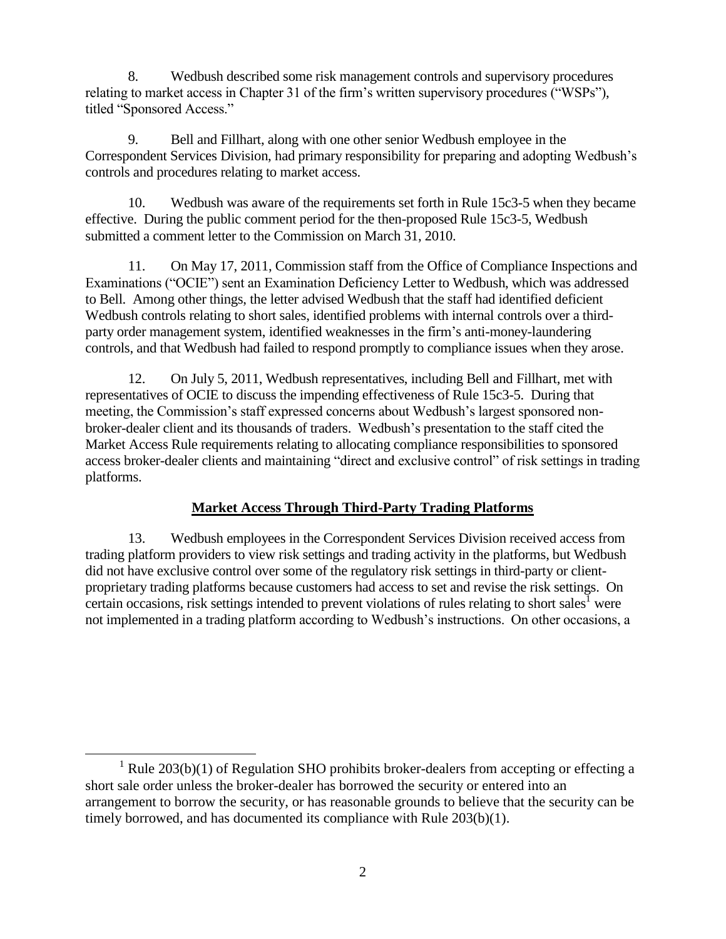8. Wedbush described some risk management controls and supervisory procedures relating to market access in Chapter 31 of the firm's written supervisory procedures ("WSPs"), titled "Sponsored Access."

9. Bell and Fillhart, along with one other senior Wedbush employee in the Correspondent Services Division, had primary responsibility for preparing and adopting Wedbush's controls and procedures relating to market access.

10. Wedbush was aware of the requirements set forth in Rule 15c3-5 when they became effective. During the public comment period for the then-proposed Rule 15c3-5, Wedbush submitted a comment letter to the Commission on March 31, 2010.

11. On May 17, 2011, Commission staff from the Office of Compliance Inspections and Examinations ("OCIE") sent an Examination Deficiency Letter to Wedbush, which was addressed to Bell. Among other things, the letter advised Wedbush that the staff had identified deficient Wedbush controls relating to short sales, identified problems with internal controls over a thirdparty order management system, identified weaknesses in the firm's anti-money-laundering controls, and that Wedbush had failed to respond promptly to compliance issues when they arose.

12. On July 5, 2011, Wedbush representatives, including Bell and Fillhart, met with representatives of OCIE to discuss the impending effectiveness of Rule 15c3-5. During that meeting, the Commission's staff expressed concerns about Wedbush's largest sponsored nonbroker-dealer client and its thousands of traders. Wedbush's presentation to the staff cited the Market Access Rule requirements relating to allocating compliance responsibilities to sponsored access broker-dealer clients and maintaining "direct and exclusive control" of risk settings in trading platforms.

# **Market Access Through Third-Party Trading Platforms**

13. Wedbush employees in the Correspondent Services Division received access from trading platform providers to view risk settings and trading activity in the platforms, but Wedbush did not have exclusive control over some of the regulatory risk settings in third-party or clientproprietary trading platforms because customers had access to set and revise the risk settings. On certain occasions, risk settings intended to prevent violations of rules relating to short sales  $\overline{I}$  were not implemented in a trading platform according to Wedbush's instructions. On other occasions, a

 $\overline{a}$ 

<sup>&</sup>lt;sup>1</sup> Rule 203(b)(1) of Regulation SHO prohibits broker-dealers from accepting or effecting a short sale order unless the broker-dealer has borrowed the security or entered into an arrangement to borrow the security, or has reasonable grounds to believe that the security can be timely borrowed, and has documented its compliance with Rule 203(b)(1).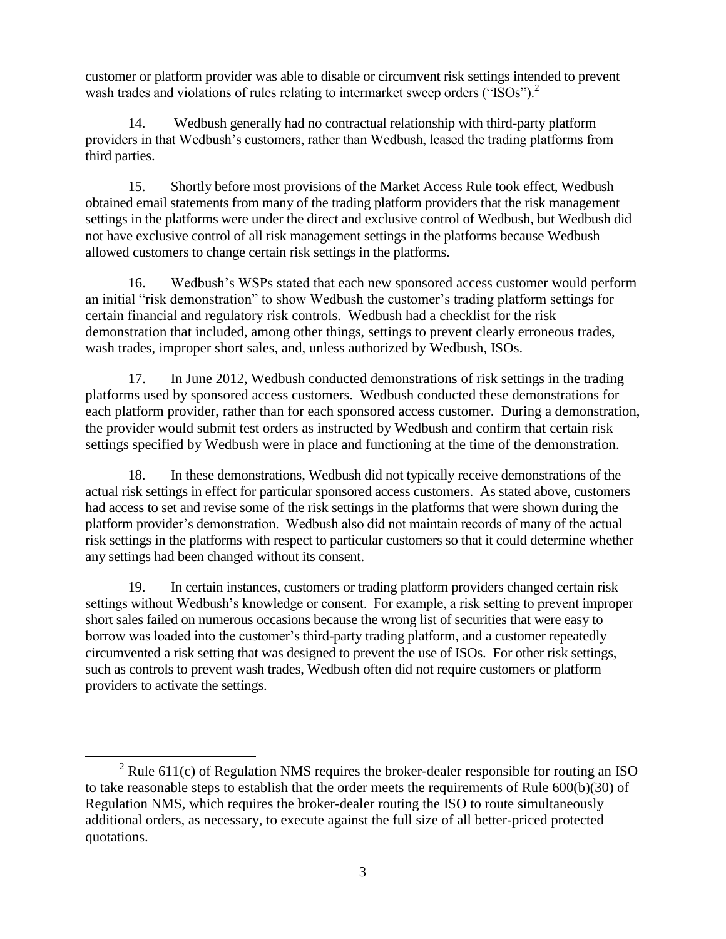customer or platform provider was able to disable or circumvent risk settings intended to prevent wash trades and violations of rules relating to intermarket sweep orders ("ISOs").<sup>2</sup>

14. Wedbush generally had no contractual relationship with third-party platform providers in that Wedbush's customers, rather than Wedbush, leased the trading platforms from third parties.

15. Shortly before most provisions of the Market Access Rule took effect, Wedbush obtained email statements from many of the trading platform providers that the risk management settings in the platforms were under the direct and exclusive control of Wedbush, but Wedbush did not have exclusive control of all risk management settings in the platforms because Wedbush allowed customers to change certain risk settings in the platforms.

16. Wedbush's WSPs stated that each new sponsored access customer would perform an initial "risk demonstration" to show Wedbush the customer's trading platform settings for certain financial and regulatory risk controls. Wedbush had a checklist for the risk demonstration that included, among other things, settings to prevent clearly erroneous trades, wash trades, improper short sales, and, unless authorized by Wedbush, ISOs.

17. In June 2012, Wedbush conducted demonstrations of risk settings in the trading platforms used by sponsored access customers. Wedbush conducted these demonstrations for each platform provider, rather than for each sponsored access customer. During a demonstration, the provider would submit test orders as instructed by Wedbush and confirm that certain risk settings specified by Wedbush were in place and functioning at the time of the demonstration.

18. In these demonstrations, Wedbush did not typically receive demonstrations of the actual risk settings in effect for particular sponsored access customers. As stated above, customers had access to set and revise some of the risk settings in the platforms that were shown during the platform provider's demonstration. Wedbush also did not maintain records of many of the actual risk settings in the platforms with respect to particular customers so that it could determine whether any settings had been changed without its consent.

19. In certain instances, customers or trading platform providers changed certain risk settings without Wedbush's knowledge or consent. For example, a risk setting to prevent improper short sales failed on numerous occasions because the wrong list of securities that were easy to borrow was loaded into the customer's third-party trading platform, and a customer repeatedly circumvented a risk setting that was designed to prevent the use of ISOs. For other risk settings, such as controls to prevent wash trades, Wedbush often did not require customers or platform providers to activate the settings.

 $\overline{a}$ 

 $2$  Rule 611(c) of Regulation NMS requires the broker-dealer responsible for routing an ISO to take reasonable steps to establish that the order meets the requirements of Rule 600(b)(30) of Regulation NMS, which requires the broker-dealer routing the ISO to route simultaneously additional orders, as necessary, to execute against the full size of all better-priced protected quotations.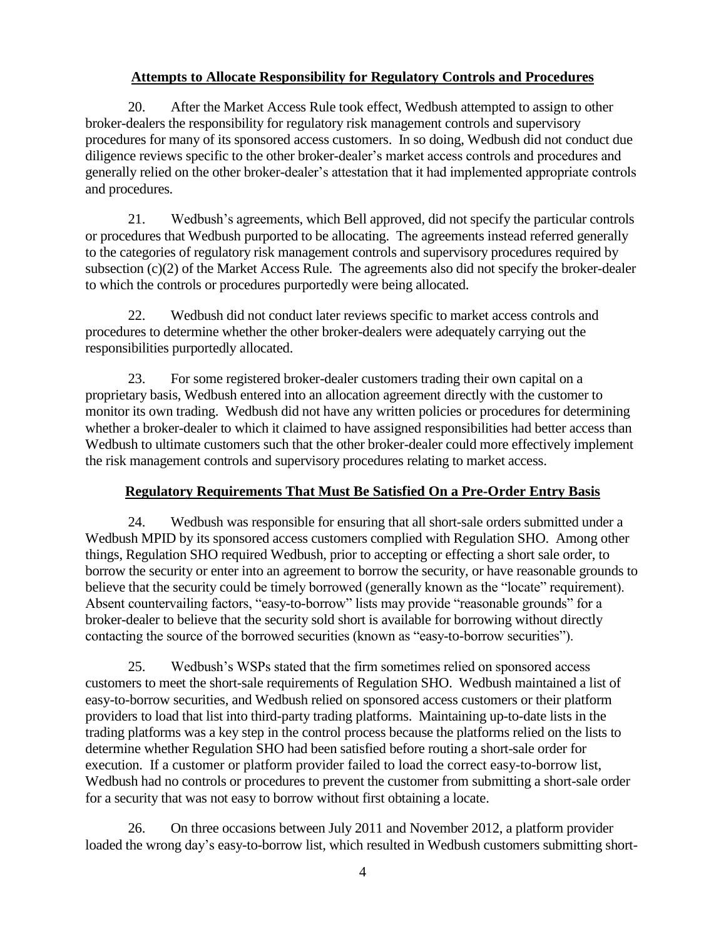# **Attempts to Allocate Responsibility for Regulatory Controls and Procedures**

20. After the Market Access Rule took effect, Wedbush attempted to assign to other broker-dealers the responsibility for regulatory risk management controls and supervisory procedures for many of its sponsored access customers. In so doing, Wedbush did not conduct due diligence reviews specific to the other broker-dealer's market access controls and procedures and generally relied on the other broker-dealer's attestation that it had implemented appropriate controls and procedures.

21. Wedbush's agreements, which Bell approved, did not specify the particular controls or procedures that Wedbush purported to be allocating. The agreements instead referred generally to the categories of regulatory risk management controls and supervisory procedures required by subsection (c)(2) of the Market Access Rule. The agreements also did not specify the broker-dealer to which the controls or procedures purportedly were being allocated.

22. Wedbush did not conduct later reviews specific to market access controls and procedures to determine whether the other broker-dealers were adequately carrying out the responsibilities purportedly allocated.

23. For some registered broker-dealer customers trading their own capital on a proprietary basis, Wedbush entered into an allocation agreement directly with the customer to monitor its own trading. Wedbush did not have any written policies or procedures for determining whether a broker-dealer to which it claimed to have assigned responsibilities had better access than Wedbush to ultimate customers such that the other broker-dealer could more effectively implement the risk management controls and supervisory procedures relating to market access.

# **Regulatory Requirements That Must Be Satisfied On a Pre-Order Entry Basis**

24. Wedbush was responsible for ensuring that all short-sale orders submitted under a Wedbush MPID by its sponsored access customers complied with Regulation SHO. Among other things, Regulation SHO required Wedbush, prior to accepting or effecting a short sale order, to borrow the security or enter into an agreement to borrow the security, or have reasonable grounds to believe that the security could be timely borrowed (generally known as the "locate" requirement). Absent countervailing factors, "easy-to-borrow" lists may provide "reasonable grounds" for a broker-dealer to believe that the security sold short is available for borrowing without directly contacting the source of the borrowed securities (known as "easy-to-borrow securities").

25. Wedbush's WSPs stated that the firm sometimes relied on sponsored access customers to meet the short-sale requirements of Regulation SHO. Wedbush maintained a list of easy-to-borrow securities, and Wedbush relied on sponsored access customers or their platform providers to load that list into third-party trading platforms. Maintaining up-to-date lists in the trading platforms was a key step in the control process because the platforms relied on the lists to determine whether Regulation SHO had been satisfied before routing a short-sale order for execution. If a customer or platform provider failed to load the correct easy-to-borrow list, Wedbush had no controls or procedures to prevent the customer from submitting a short-sale order for a security that was not easy to borrow without first obtaining a locate.

26. On three occasions between July 2011 and November 2012, a platform provider loaded the wrong day's easy-to-borrow list, which resulted in Wedbush customers submitting short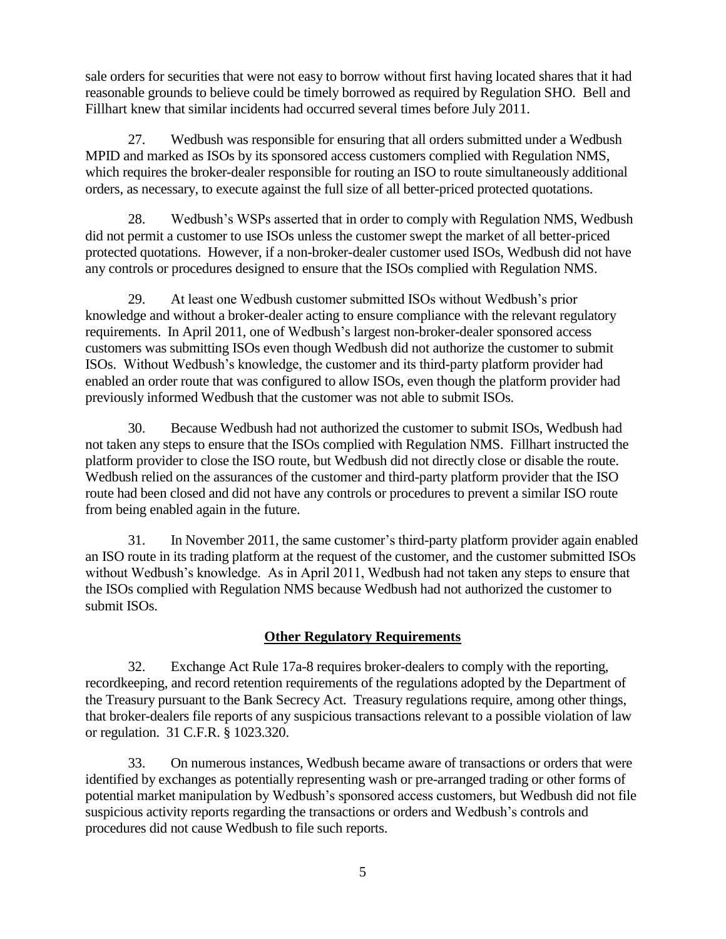sale orders for securities that were not easy to borrow without first having located shares that it had reasonable grounds to believe could be timely borrowed as required by Regulation SHO. Bell and Fillhart knew that similar incidents had occurred several times before July 2011.

27. Wedbush was responsible for ensuring that all orders submitted under a Wedbush MPID and marked as ISOs by its sponsored access customers complied with Regulation NMS, which requires the broker-dealer responsible for routing an ISO to route simultaneously additional orders, as necessary, to execute against the full size of all better-priced protected quotations.

28. Wedbush's WSPs asserted that in order to comply with Regulation NMS, Wedbush did not permit a customer to use ISOs unless the customer swept the market of all better-priced protected quotations. However, if a non-broker-dealer customer used ISOs, Wedbush did not have any controls or procedures designed to ensure that the ISOs complied with Regulation NMS.

29. At least one Wedbush customer submitted ISOs without Wedbush's prior knowledge and without a broker-dealer acting to ensure compliance with the relevant regulatory requirements. In April 2011, one of Wedbush's largest non-broker-dealer sponsored access customers was submitting ISOs even though Wedbush did not authorize the customer to submit ISOs. Without Wedbush's knowledge, the customer and its third-party platform provider had enabled an order route that was configured to allow ISOs, even though the platform provider had previously informed Wedbush that the customer was not able to submit ISOs.

30. Because Wedbush had not authorized the customer to submit ISOs, Wedbush had not taken any steps to ensure that the ISOs complied with Regulation NMS. Fillhart instructed the platform provider to close the ISO route, but Wedbush did not directly close or disable the route. Wedbush relied on the assurances of the customer and third-party platform provider that the ISO route had been closed and did not have any controls or procedures to prevent a similar ISO route from being enabled again in the future.

31. In November 2011, the same customer's third-party platform provider again enabled an ISO route in its trading platform at the request of the customer, and the customer submitted ISOs without Wedbush's knowledge. As in April 2011, Wedbush had not taken any steps to ensure that the ISOs complied with Regulation NMS because Wedbush had not authorized the customer to submit ISOs.

# **Other Regulatory Requirements**

32. Exchange Act Rule 17a-8 requires broker-dealers to comply with the reporting, recordkeeping, and record retention requirements of the regulations adopted by the Department of the Treasury pursuant to the Bank Secrecy Act. Treasury regulations require, among other things, that broker-dealers file reports of any suspicious transactions relevant to a possible violation of law or regulation. 31 C.F.R. § 1023.320.

33. On numerous instances, Wedbush became aware of transactions or orders that were identified by exchanges as potentially representing wash or pre-arranged trading or other forms of potential market manipulation by Wedbush's sponsored access customers, but Wedbush did not file suspicious activity reports regarding the transactions or orders and Wedbush's controls and procedures did not cause Wedbush to file such reports.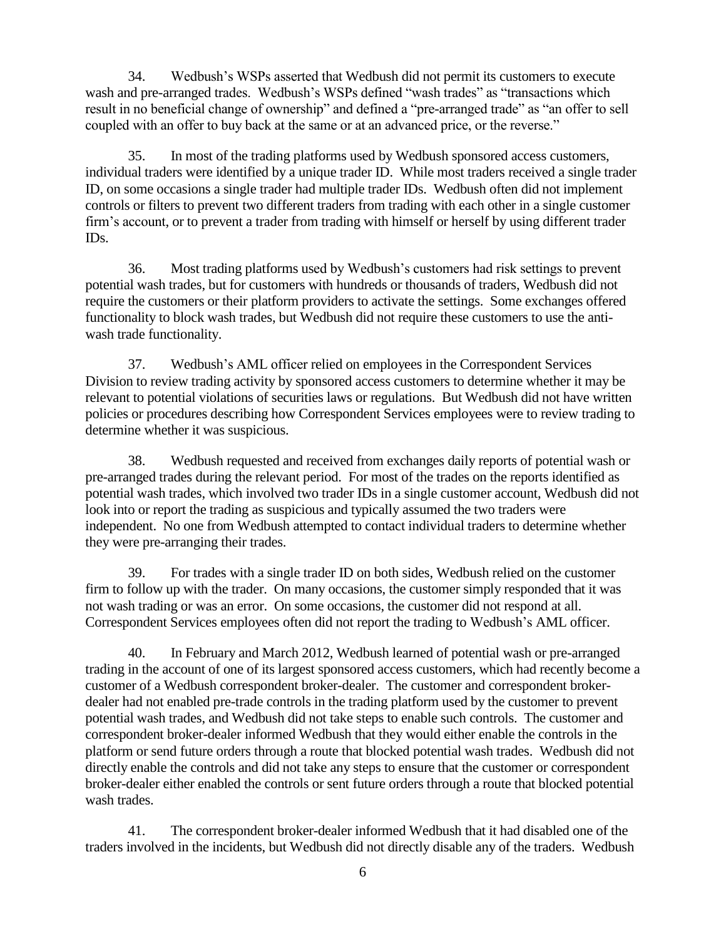34. Wedbush's WSPs asserted that Wedbush did not permit its customers to execute wash and pre-arranged trades. Wedbush's WSPs defined "wash trades" as "transactions which result in no beneficial change of ownership" and defined a "pre-arranged trade" as "an offer to sell coupled with an offer to buy back at the same or at an advanced price, or the reverse."

35. In most of the trading platforms used by Wedbush sponsored access customers, individual traders were identified by a unique trader ID. While most traders received a single trader ID, on some occasions a single trader had multiple trader IDs. Wedbush often did not implement controls or filters to prevent two different traders from trading with each other in a single customer firm's account, or to prevent a trader from trading with himself or herself by using different trader IDs.

36. Most trading platforms used by Wedbush's customers had risk settings to prevent potential wash trades, but for customers with hundreds or thousands of traders, Wedbush did not require the customers or their platform providers to activate the settings. Some exchanges offered functionality to block wash trades, but Wedbush did not require these customers to use the antiwash trade functionality.

37. Wedbush's AML officer relied on employees in the Correspondent Services Division to review trading activity by sponsored access customers to determine whether it may be relevant to potential violations of securities laws or regulations. But Wedbush did not have written policies or procedures describing how Correspondent Services employees were to review trading to determine whether it was suspicious.

38. Wedbush requested and received from exchanges daily reports of potential wash or pre-arranged trades during the relevant period. For most of the trades on the reports identified as potential wash trades, which involved two trader IDs in a single customer account, Wedbush did not look into or report the trading as suspicious and typically assumed the two traders were independent. No one from Wedbush attempted to contact individual traders to determine whether they were pre-arranging their trades.

39. For trades with a single trader ID on both sides, Wedbush relied on the customer firm to follow up with the trader. On many occasions, the customer simply responded that it was not wash trading or was an error. On some occasions, the customer did not respond at all. Correspondent Services employees often did not report the trading to Wedbush's AML officer.

40. In February and March 2012, Wedbush learned of potential wash or pre-arranged trading in the account of one of its largest sponsored access customers, which had recently become a customer of a Wedbush correspondent broker-dealer. The customer and correspondent brokerdealer had not enabled pre-trade controls in the trading platform used by the customer to prevent potential wash trades, and Wedbush did not take steps to enable such controls. The customer and correspondent broker-dealer informed Wedbush that they would either enable the controls in the platform or send future orders through a route that blocked potential wash trades. Wedbush did not directly enable the controls and did not take any steps to ensure that the customer or correspondent broker-dealer either enabled the controls or sent future orders through a route that blocked potential wash trades.

41. The correspondent broker-dealer informed Wedbush that it had disabled one of the traders involved in the incidents, but Wedbush did not directly disable any of the traders. Wedbush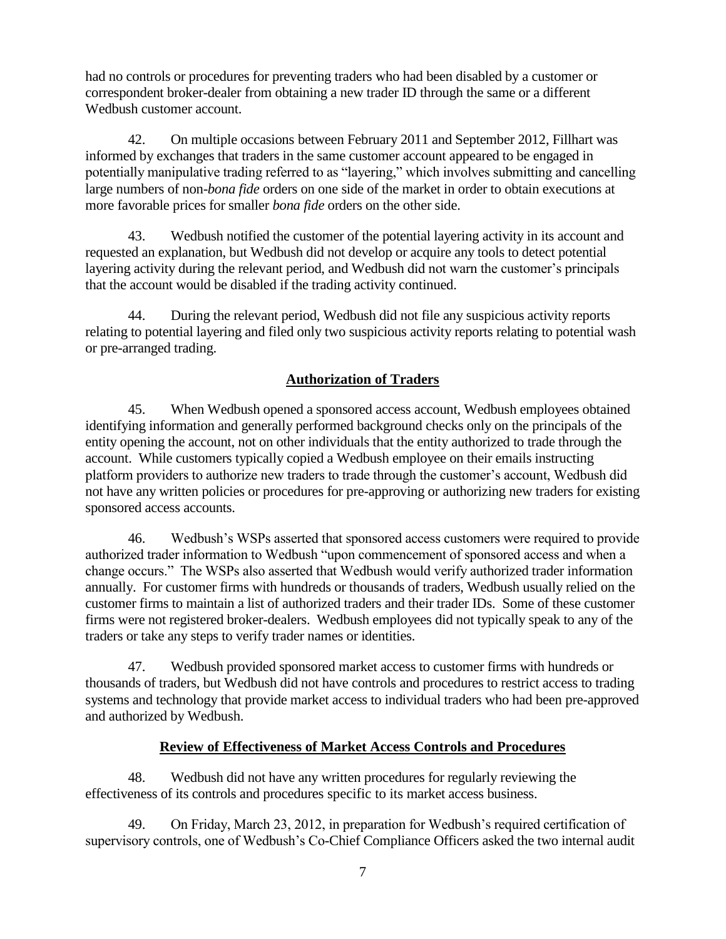had no controls or procedures for preventing traders who had been disabled by a customer or correspondent broker-dealer from obtaining a new trader ID through the same or a different Wedbush customer account.

42. On multiple occasions between February 2011 and September 2012, Fillhart was informed by exchanges that traders in the same customer account appeared to be engaged in potentially manipulative trading referred to as "layering," which involves submitting and cancelling large numbers of non-*bona fide* orders on one side of the market in order to obtain executions at more favorable prices for smaller *bona fide* orders on the other side.

43. Wedbush notified the customer of the potential layering activity in its account and requested an explanation, but Wedbush did not develop or acquire any tools to detect potential layering activity during the relevant period, and Wedbush did not warn the customer's principals that the account would be disabled if the trading activity continued.

44. During the relevant period, Wedbush did not file any suspicious activity reports relating to potential layering and filed only two suspicious activity reports relating to potential wash or pre-arranged trading.

# **Authorization of Traders**

45. When Wedbush opened a sponsored access account, Wedbush employees obtained identifying information and generally performed background checks only on the principals of the entity opening the account, not on other individuals that the entity authorized to trade through the account. While customers typically copied a Wedbush employee on their emails instructing platform providers to authorize new traders to trade through the customer's account, Wedbush did not have any written policies or procedures for pre-approving or authorizing new traders for existing sponsored access accounts.

46. Wedbush's WSPs asserted that sponsored access customers were required to provide authorized trader information to Wedbush "upon commencement of sponsored access and when a change occurs." The WSPs also asserted that Wedbush would verify authorized trader information annually. For customer firms with hundreds or thousands of traders, Wedbush usually relied on the customer firms to maintain a list of authorized traders and their trader IDs. Some of these customer firms were not registered broker-dealers. Wedbush employees did not typically speak to any of the traders or take any steps to verify trader names or identities.

47. Wedbush provided sponsored market access to customer firms with hundreds or thousands of traders, but Wedbush did not have controls and procedures to restrict access to trading systems and technology that provide market access to individual traders who had been pre-approved and authorized by Wedbush.

### **Review of Effectiveness of Market Access Controls and Procedures**

48. Wedbush did not have any written procedures for regularly reviewing the effectiveness of its controls and procedures specific to its market access business.

49. On Friday, March 23, 2012, in preparation for Wedbush's required certification of supervisory controls, one of Wedbush's Co-Chief Compliance Officers asked the two internal audit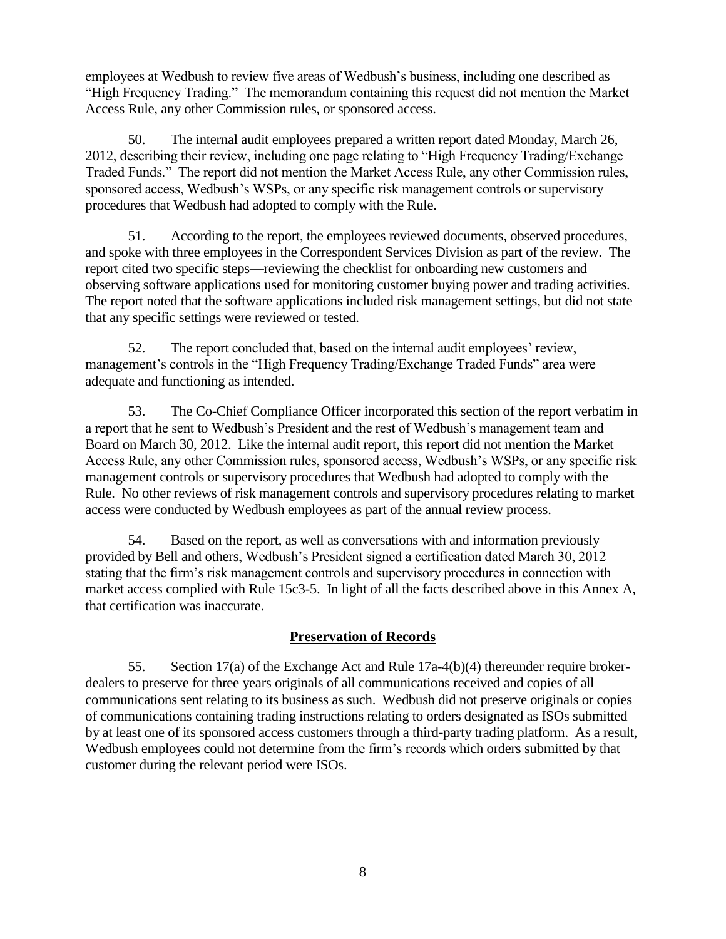employees at Wedbush to review five areas of Wedbush's business, including one described as "High Frequency Trading." The memorandum containing this request did not mention the Market Access Rule, any other Commission rules, or sponsored access.

50. The internal audit employees prepared a written report dated Monday, March 26, 2012, describing their review, including one page relating to "High Frequency Trading/Exchange Traded Funds." The report did not mention the Market Access Rule, any other Commission rules, sponsored access, Wedbush's WSPs, or any specific risk management controls or supervisory procedures that Wedbush had adopted to comply with the Rule.

51. According to the report, the employees reviewed documents, observed procedures, and spoke with three employees in the Correspondent Services Division as part of the review. The report cited two specific steps—reviewing the checklist for onboarding new customers and observing software applications used for monitoring customer buying power and trading activities. The report noted that the software applications included risk management settings, but did not state that any specific settings were reviewed or tested.

52. The report concluded that, based on the internal audit employees' review, management's controls in the "High Frequency Trading/Exchange Traded Funds" area were adequate and functioning as intended.

53. The Co-Chief Compliance Officer incorporated this section of the report verbatim in a report that he sent to Wedbush's President and the rest of Wedbush's management team and Board on March 30, 2012. Like the internal audit report, this report did not mention the Market Access Rule, any other Commission rules, sponsored access, Wedbush's WSPs, or any specific risk management controls or supervisory procedures that Wedbush had adopted to comply with the Rule. No other reviews of risk management controls and supervisory procedures relating to market access were conducted by Wedbush employees as part of the annual review process.

54. Based on the report, as well as conversations with and information previously provided by Bell and others, Wedbush's President signed a certification dated March 30, 2012 stating that the firm's risk management controls and supervisory procedures in connection with market access complied with Rule 15c3-5. In light of all the facts described above in this Annex A, that certification was inaccurate.

# **Preservation of Records**

55. Section 17(a) of the Exchange Act and Rule 17a-4(b)(4) thereunder require brokerdealers to preserve for three years originals of all communications received and copies of all communications sent relating to its business as such. Wedbush did not preserve originals or copies of communications containing trading instructions relating to orders designated as ISOs submitted by at least one of its sponsored access customers through a third-party trading platform. As a result, Wedbush employees could not determine from the firm's records which orders submitted by that customer during the relevant period were ISOs.